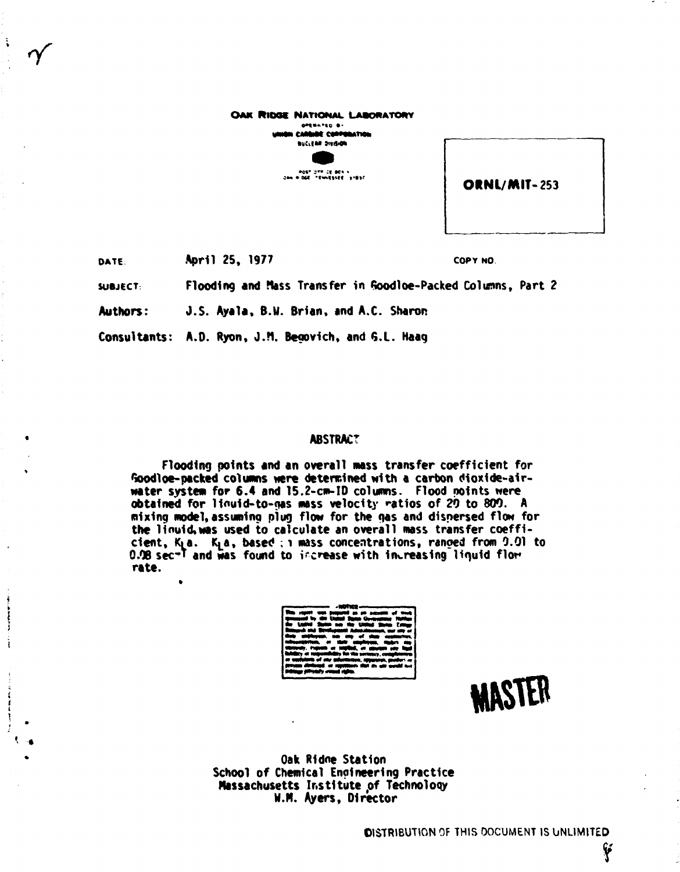| OAK RIDGE NATIONAL LABORATORY<br>OPERATED BY<br>umen cantabe convenation |              |
|--------------------------------------------------------------------------|--------------|
| <b>BUCLERE DIVISION</b>                                                  |              |
|                                                                          |              |
| POST OFFICE BOX 4                                                        |              |
| Can midde introduced sides                                               | ORNL/MIT-253 |
|                                                                          |              |

**OATE: April 25, 1977** COPY NO.

 $\frac{1}{2}$ 

**SUBJECT: Flooding and Mass Transfer in foodloe-Packed Columns, Part 2** 

**Authors: J.S. Ayala, B.U. Brian, and A.C. Sharon** 

**Consultants: A.O. Ryon, J.M. Begovich, and <5.L. Haaq** 

# **ABSTRACT**

**Flooding points and an overall mass transfer coefficient for toodloe-packed columns were determined with a carbon dioxide-airwater system for 6.4 and 15.2-cm-ID columns. Flood points were obtained for llfluid-to-gas mass velocity ratios of 20 to 800. A mixing model, assuming plug flow for the gas and dispersed flow for**  the linuid, was used to calculate an overall mass transfer coeffi**cient, Kia. K^a, based : i mass concentrations, ranged from 0.01 to O.0B sec-T** and was found to increase with increasing liquid flom **rate.** 

**MASTER** 

**Oak Ridne Station School of Chemical Engineering Practice Massachusetts Institute of Technoloqy W.H. Ayers, Director** 

**?**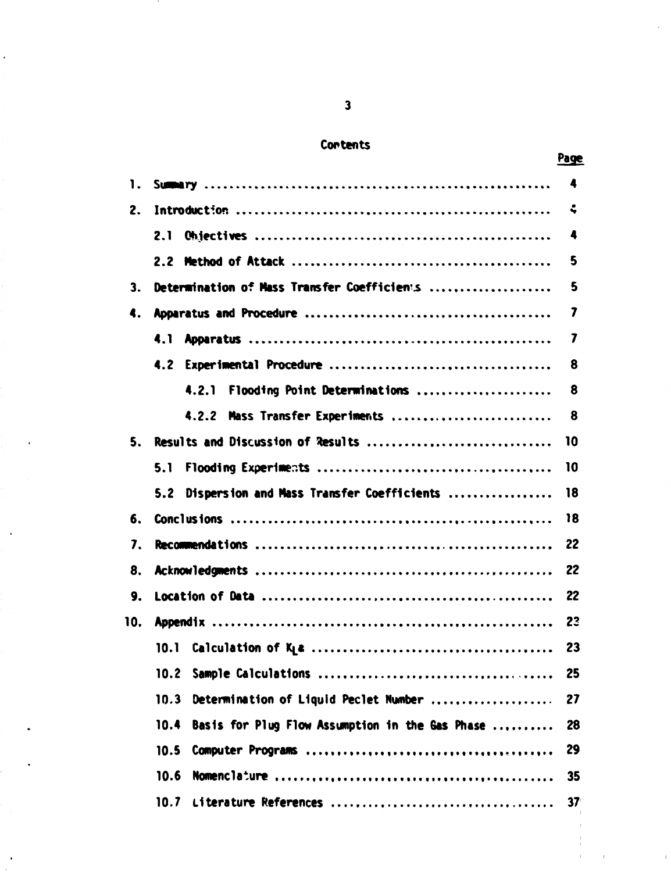# **Contents**

| 1.  |                                                         | 4               |
|-----|---------------------------------------------------------|-----------------|
| 2.  |                                                         | ÷               |
|     | 2.1                                                     | 4               |
|     |                                                         | 5               |
| 3.  | Determination of Mass Transfer Coefficients             | 5               |
| 4.  |                                                         | 7               |
|     |                                                         | 7               |
|     |                                                         | 8               |
|     | 4.2.1 Flooding Point Determinations                     | 8               |
|     | 4.2.2 Mass Transfer Experiments                         | 8               |
|     | 5. Results and Discussion of Results                    | 10              |
|     | 5.1                                                     | 10              |
|     | 5.2 Dispersion and Mass Transfer Coefficients           | 18              |
| 6.  |                                                         | 18              |
| 7.  |                                                         | 22              |
| 8.  |                                                         | 22              |
| 9.  |                                                         | 22              |
| 10. |                                                         | 23              |
|     |                                                         | 23              |
|     |                                                         | 25              |
|     | 10.3<br>Determination of Liquid Peclet Number           | 27              |
|     | Basis for Plug Flow Assumption in the Gas Phase<br>10.4 | 28              |
|     | 10.5                                                    | 29              |
|     | 10.6                                                    | 35              |
|     | 10.7                                                    | 37 <sup>°</sup> |

# **Page**

 $\hat{\mathbf{I}}$ 

 $\frac{1}{2}$ 

 $\ddot{\phantom{0}}$ 

 $\ddot{\phantom{0}}$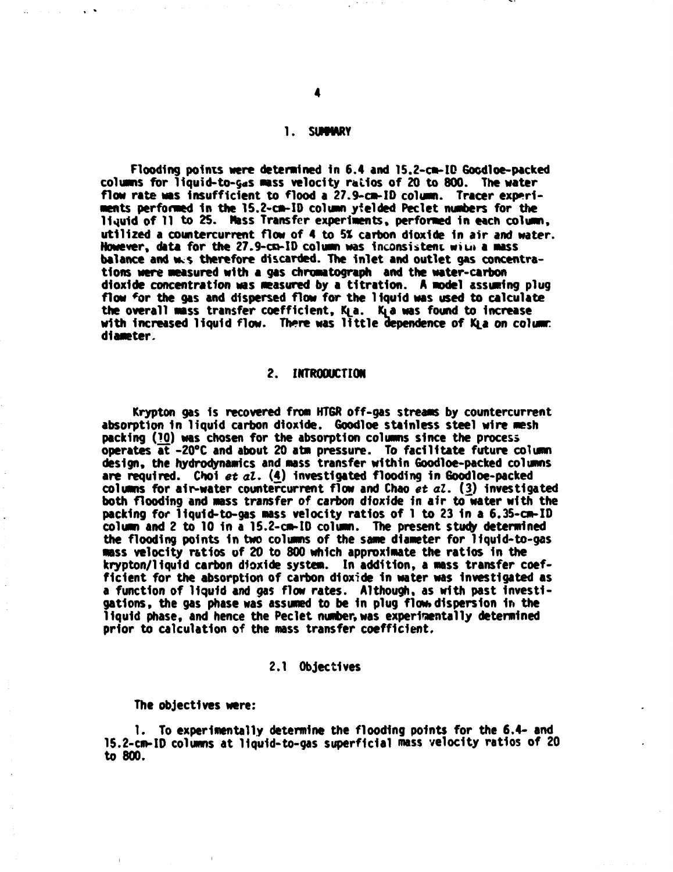#### **1. SWfMRY**

**Flooding points were determined In 6.4 and 15.2-cm-IQ Gocdloe-packed columns for 1iquid-to-§«s mass velocity ratios of 20 to 800. The water flow rate was Insufficient to flood a 27.9-cm-ID column. Tracer experi**ments performed in the 15.2-cm-ID column yielded Peclet numbers for the **liquid of 11 to 25. Mass Transfer experiments, performed in each column, utilized a countercurrent flow of 4 to 5% carbon dioxide in air and water. However, data for the 27.9-cn-ID column was inconsistent wiut a mass balance and wc\$ therefore discarded. The inlet and outlet gas concentrations were measured with a gas chromatograph and the water-carbon dioxide concentration was measured by a titration. A model assuming plug flow \*or the gas and dispersed flow for the 11quid was used to calculate**  the overall mass transfer coefficient, K<sub>L</sub>a. K<sub>L</sub>a was found to increase with increased liquid flow. There was little dependence of KLa on column: **diameter.** 

# **2. INTRODUCTION**

**Krypton gas is recovered from HTGR off-gas streams by countercurrent absorption In liquid carbon dioxide. Goodloe stainless steel wire mesh packing (10) was chosen for the absorption columns since the process operates at -20°C and about 20 atm pressure. To facilitate future column design, the hydrodynamics and mass transfer within Goodloe-packed columns are required. Choi** *et al.* **(4) investigated flooding in Goodloe-packed columns for a1r-water countercurrent flow and Chao** *et al.* **(3) investigated both flooding and mass transfer of carbon dioxide in air to water with the packing for liquid-to-gas mass velocity ratios of 1 to 23 in a 6.35-cm-ID column and 2 to 10 in a 15.2-cm-ID column. The present study determined the flooding points In two columns of the same diameter for liquid-to-gas mass velocity ratios of 20 to 800 which approximate the ratios in the krypton/liquid carbon dioxide system. In addition, a mass transfer coef**ficient for the absorption of carbon dioxide in water was investigated as **a function of liquid and gas flow rates. Although, as with past Investi**gations, the gas phase was assumed to be in plug flow dispersion in the **liquid phase, and hence the Peclet number,was experimentally determined prior to calculation of the mass transfer coefficient.** 

#### **2.1 Objectives**

**The objectives were:** 

**1. To experimentally determine the flooding points for the 6.4- and 15.2-cm-ID columns at liquid-to-gas superficial mass velocity ratios of 20 to 800.**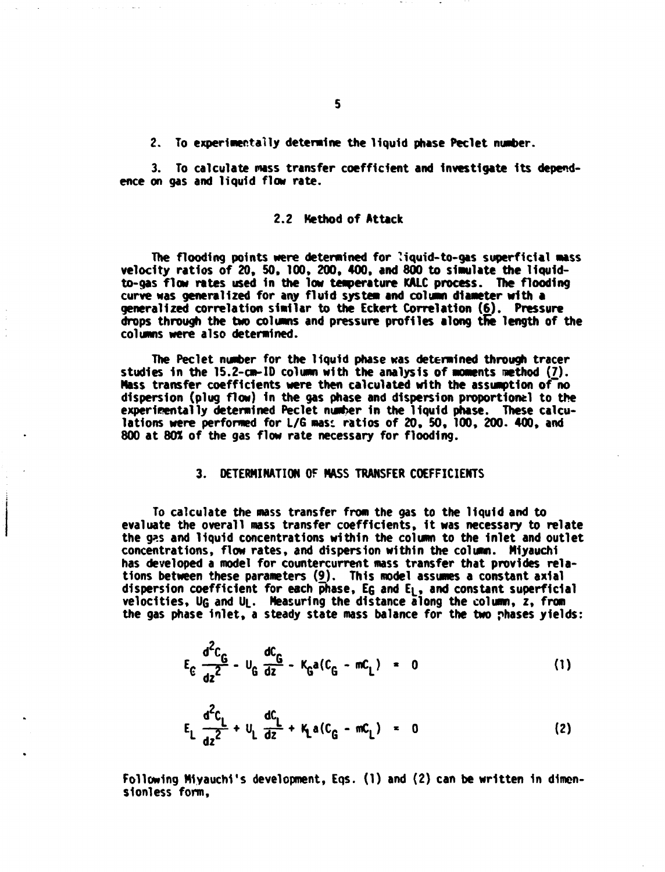**2. To experimentally determine the liquid phase Peclet number.** 

**3. To calculate mass transfer coefficient and Investigate Its depend ence on gas and liquid flow rate.** 

#### **2.2 Kethod of Attack**

**The flooding points were determined for ?iquid-to-gas superficial mass velocity ratios of 20, 50, 100, 200, 400, and 800 to simulate the liquidto-gas flow rates used In the low temperature KALC process. The flooding curve was generalized for any fluid system and column diameter with a generalized correlation similar to the Eckert Correlation (6). Pressure**  drops through the two columns and pressure profiles along the length of the **columns were also determined.** 

**The Peclet number for the liquid phase was determined through tracer studies in the 15.2-cm-ID column with the analysis of moments nethod** *[7).*  **Mass transfer coefficients were then calculated with the assumption of~no dispersion (plug flow) In the gas phase and dispersion proportional to the experimentally determined Peclet number in the liquid phase. These calcu**lations were performed for L/G mas: ratios of 20, 50, 100, 200. 400, and **800 at 80% of the gas flow rate necessary for flooding.** 

#### **3. DETERMINATION OF MASS TRANSFER COEFFICIENTS**

**To calculate the mass transfer from the gas to the liquid and to evaluate the overall mass transfer coefficients, It was necessary to relate**  the g<sub>25</sub> and liquid concentrations within the column to the inlet and outlet **concentrations, flow rates, and dispersion within the column. Miyauchl has developed a model for countercurrent mass transfer that provides relations between these parameters (9). This model assumes a constant axial dispersion coefficient for each phase. EG and E^, and constant superficial velocities, UQ and Uj.. Measuring the distance along the column, z, from the gas phase inlet, a steady state mass balance for the two phases yields:** 

$$
E_{c} \frac{d^{2}C_{G}}{dz^{2}} - U_{G} \frac{dC_{G}}{dz} - K_{G}a(C_{G} - mc_{L}) = 0
$$
 (1)

$$
E_{L} \frac{d^{2}C_{L}}{dz^{2}} + U_{L} \frac{dC_{L}}{dz} + K_{L}a(C_{G} - mC_{L}) = 0
$$
 (2)

Following Miyauchi's development, Eqs. (1) and (2) can be written in dimen**slonless form,**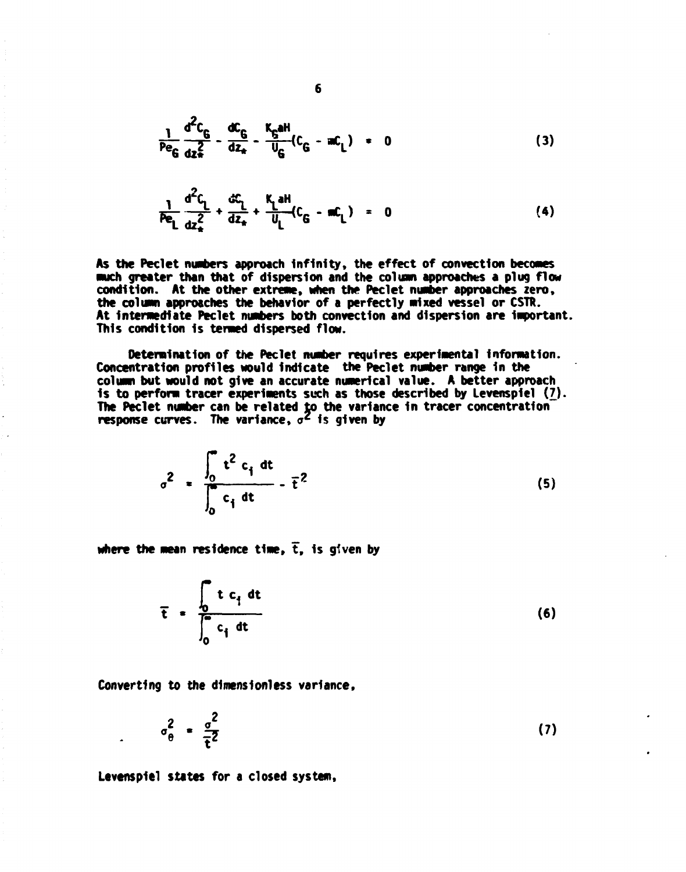$$
\frac{1}{P \epsilon_G} \frac{d^2 C_G}{dz_*^2} - \frac{dC_G}{dz_*} - \frac{K_G aH}{U_G} (C_G - aC_L) = 0
$$
 (3)

$$
\frac{1}{P\mathbf{e}_L} \frac{d^2 C_L}{dz_*} + \frac{dC_L}{dz_*} + \frac{K_L aH}{U_L} (C_G - mC_L) = 0 \tag{4}
$$

**As the Peclet numbers approach Infinity, the effect of convection becomes •wach greater than that of dispersion and the column approaches a plug flow condition. At the other extreme, when the Peclet number approaches zero, the column approaches the behavior of a perfectly nixed vessel or CSTR.**  At intermediate Peclet numbers both convection and dispersion are important. **This condition Is termed dispersed flow.** 

**Determination of the Peclet number requires experimental information. Concentration profiles would Indicate the Peclet number range In the column but would not give an accurate numerical value. A better approach Is to perform tracer experiments such as those described by Levensplel (7). The Peclet number can be related to the variance in tracer concentration response curves. The variance,**  $\sigma^2$  **is given by** 

$$
\sigma^2 = \frac{\int_0^{\infty} t^2 c_i dt}{\int_0^{\infty} c_i dt} - \overline{t}^2
$$
 (5)

where the mean residence time,  $\bar{t}$ , is given by

**f t c1 dt**   $t = \frac{0}{10}$  (6) **<sup>C</sup> 1**

Converting to the dimensionless variance,

$$
\sigma_{\theta}^2 = \frac{\sigma^2}{\tau^2} \tag{7}
$$

**Levensplel states for a closed system,**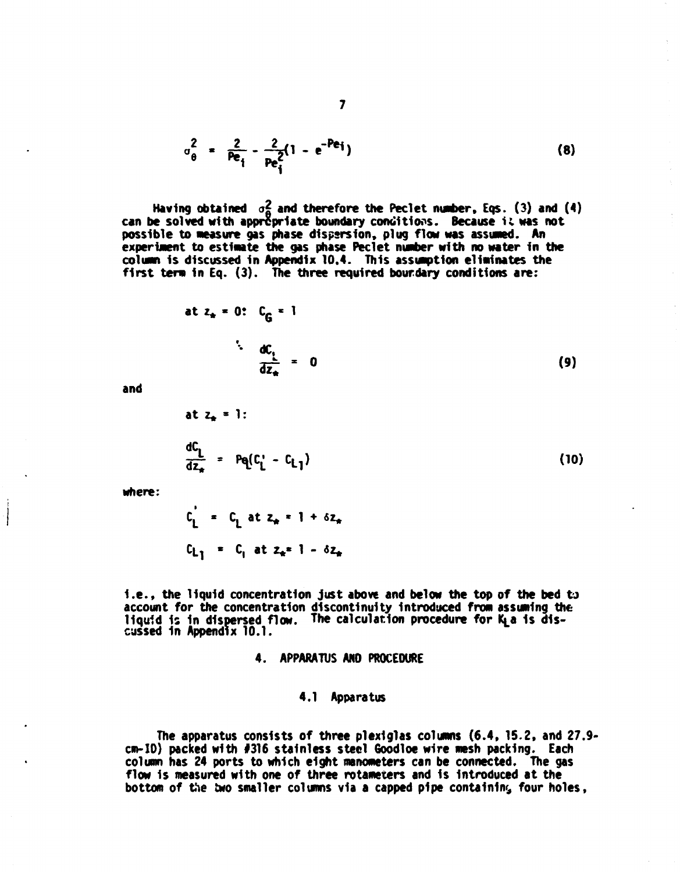$$
\sigma_0^2 = \frac{2}{Pe_i} - \frac{2}{Pe_i^2} (1 - e^{-Pe_i})
$$
 (8)

Having obtained o<sub>n</sub> and therefore the Peclet number, Eqs. (3) and (4) can be solved with appropriate boundary conditions. Because it was not possible to measure gas phase dispersion, plug flow was assumed. An experiment to estimate the gas phase Peclet number with no water in the **column 1s discussed in Appendix 10.4. This assumption eliminates the first term In Eq. (3). The three required bourdary conditions are:** 

at 
$$
z_n = 0
$$
:  $C_G = 1$   
\n
$$
\frac{dC_1}{dz_n} = 0
$$
\n(9)

**and** 

at 
$$
z_{\ast} = 1
$$
:  
\n
$$
\frac{dC_{L}}{dz_{\ast}} = Pq(C_{L}^{T} - C_{L})
$$
\n(10)

**where:** 

$$
C_{L_1} = C_{L_1} at z_{*} = 1 + \delta z_{*}
$$
  
\n $C_{L_1} = C_{L_1} at z_{*} = 1 - \delta z_{*}$ 

**I.e. , the liquid concentration just above and below the top of the bed** *to*  **account for the concentration discontinuity Introduced from assuming the**  liquid is in dispersed flow. The calculation procedure for K<sub>L</sub>a is dis**cussed 1n Appendix 10.1.** 

#### **4. APPARATUS ANO PROCEDURE**

#### **4.1 Apparatus**

**The apparatus consists of three plexlglas columns (6.4, 15.2, and 27.9\* cm-10) packed with #316 stainless steel Goodloe wire mesh packing. Each column has 24 ports to which eight manometers can be connected. The gas flow 1s measured with one of three rotameters and 1s Introduced at the bottom of the two smaller columns via a capped pipe containing four holes,**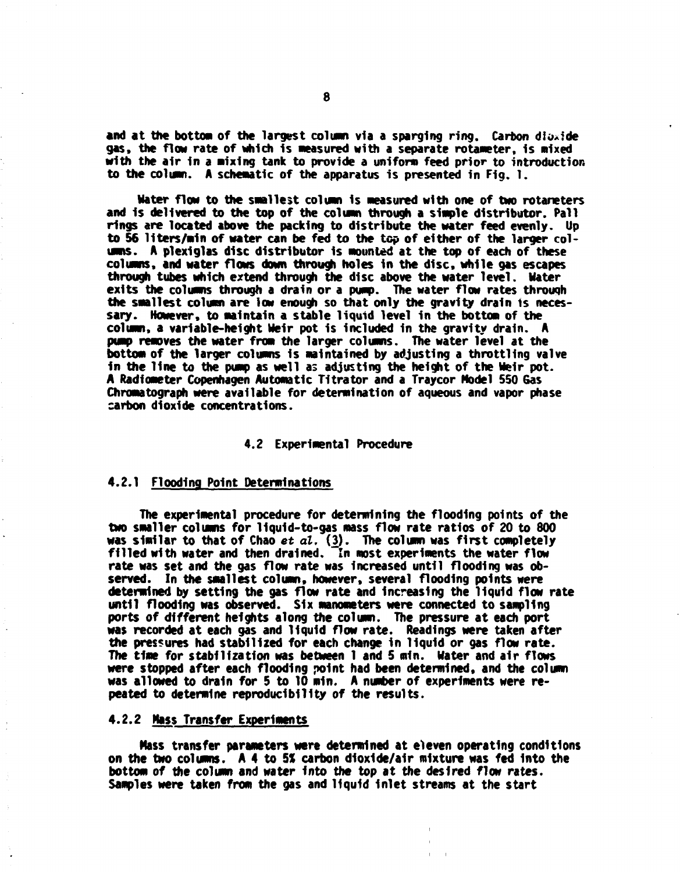**and at the botton of the largest column via a sparging ring. Carbon dioxide**  gas, the flow rate of which is measured with a separate rotameter, is mixed **with the air In a mixing tank to provide a uniform feed prior to introduction**  to the column. A schematic of the apparatus is presented in Fig. 1.

**Mater flow to the smallest column Is measured with one of two rotaneters and is delivered to the top of the column through a simple distributor. Pall rings are located above the packing to distribute the water feed evenly. Up**  to 56 liters/min of water can be fed to the top of either of the larger col**umns. A plexiglas disc distributor is mounted at the top of each of these columns, and water flows down through holes in the disc, while gas escapes through tubes which extend through the disc above the water level. Hater exits the columns through a drain or a pump. The water flow rates through the smallest column are low enough so that only the gravity drain is necessary. However, to maintain a stable liquid level in the bottom of the column, a variable-height Heir pot is included in the gravity drain. A pump removes the water from the larger columns. The water level at the bottom of the larger columns is maintained by adjusting a throttling valve in the line to the pump as well as adjusting the height of the Heir pot. A Radiometer Copenhagen Automatic Tltrator and a Traycor Model 550 6as Chromatograph were available for determination of aqueous and vapor phase carbon dioxide concentrations.** 

#### **4.2 Experimental Procedure**

#### **4.2.1 Flooding Point Determinations**

**The experimental procedure for determining the flooding points of the two smaller columns for liquid-to-gas mass flow rate ratios of 20 to 800 was similar to that of Chao et al. (3). The column was first completely filled with water and then drained. In most experiments the water flow rate was set and the gas flow rate was increased until flooding was observed. In the smallest column, however, several flooding points were determined by setting the gas flow rate and increasing the liquid flow rate until flooding was observed. Six manometers were connected to sampling ports** *of* **different heights along the column. The pressure at each port was recorded at each gas and liquid flow rate. Readings were taken after the pressures had stabilized for each change in liquid or gas flow rate.**  The time for stabilization was between 1 and 5 min. Water and air flows **were stopped after each flooding point had been determined, and the column**  was allowed to drain for 5 to 10 min. A number of experiments were re**peated to determine reproducibility of the results.** 

#### **4.2.2 Mass Transfer Experiments**

**Mass transfer parameters were determined at eleven operating conditions on the two columns. A 4 to 5% carbon dioxide/air mixture was fed into the bottom of the column and water Into the top at the desired flow rates. Samples were taken from the gas and liquid Inlet streams at the start**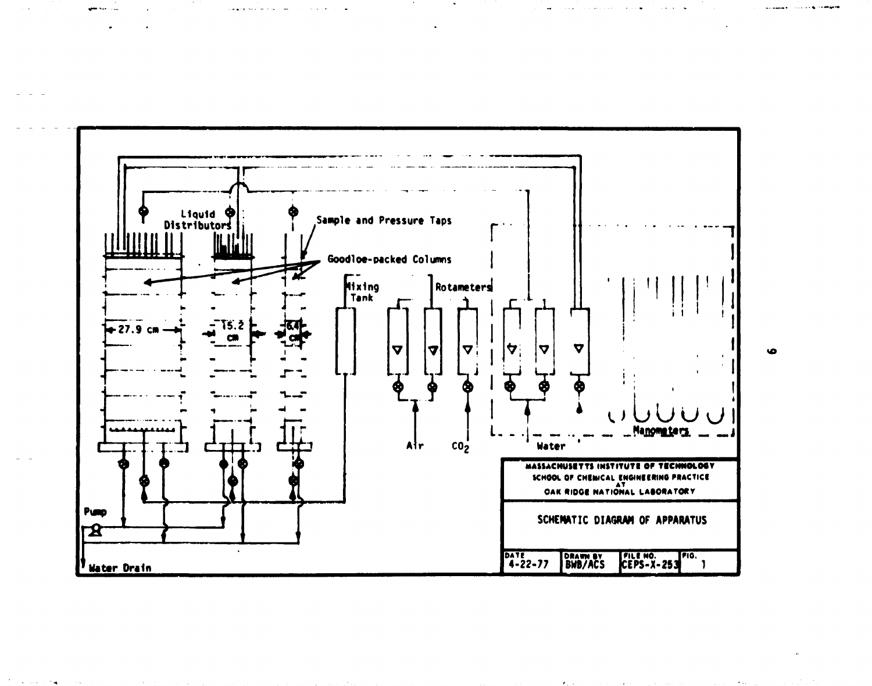

۱n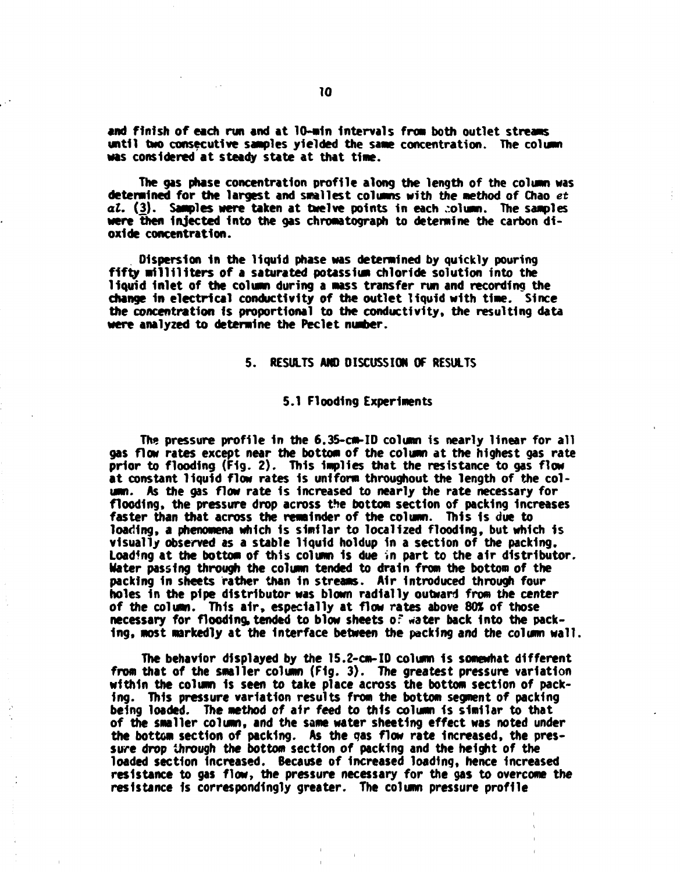**and finish of each run and at 10-min Intervals from both outlet streams until two consecutive samples yielded the same concentration. The column was considered at steady state at that time.** 

**The gas phase concentration profile along the length of the column was determined for the largest and smallest columns with the method of Chao** *et at.* **(3). Samples were taken at twelve points in each column. The samples were then injected into the gas chromatograph to determine the carbon dioxide concentration.** 

**Dispersion 1n the liquid phase was determined by quickly pouring fifty milliliters of a saturated potassium chloride solution into the liquid Inlet of the column during a mass transfer run and recording the change in electrical conductivity of the outlet liquid with time. Since the concentration is proportional to the conductivity, the resulting data were analyzed to determine the Peclet number.** 

#### **5. RESULTS AND DISCUSSION OF RESULTS**

#### **5.1 Flooding Experiments**

**The pressure profile in the 6.35-cm-ID column is nearly linear for all gas flow rates except near the bottom of the column at the highest gas rate prior to flooding (Fig. 2) . This implies that the resistance to gas flow at constant liquid flow rates is uniform throughout the length of the column. As the gas flow rate Is Increased to nearly the rate necessary for flooding, the pressure drop across the bottom section of packing Increases faster than that across the remainder of the column. This is due to**  loading, a phenomena which is similar to localized flooding, but which is **visually observed as a stable liquid holdup in a section of the packing.**  Loading at the bottom of this column is due in part to the air distributor. **Mater passing through the column tended to drain from the bottom of the packing In sheets rather than In streams. Air Introduced through four holes in the pipe distributor was blown radially outward from the center of the column. This air, especially at flow rates above 80% of those necessary for flooding, tended to blow sheets of water back Into the packing, most markedly at the Interface between the packing and the column wall.** 

**The behavior displayed by the 15.2-cm-ID column is somewhat different from that of the smaller column (Fig. 3). The greatest pressure variation within the column 1s seen to take place across the bottom section of packing. This pressure variation results from the bottom segment of packing being loaded. The method of air feed to this column 1s similar to that of the smaller column, and the same water sheeting effect was noted under the bottom section of packing. As the gas flow rate Increased, the pressure drop through the bottom section of packing and the height of the loaded section Increased. Because of Increased loading, hence Increased resistance to gas flow, the pressure necessary for the gas to overcome the resistance Is correspondingly greater. The column pressure profile**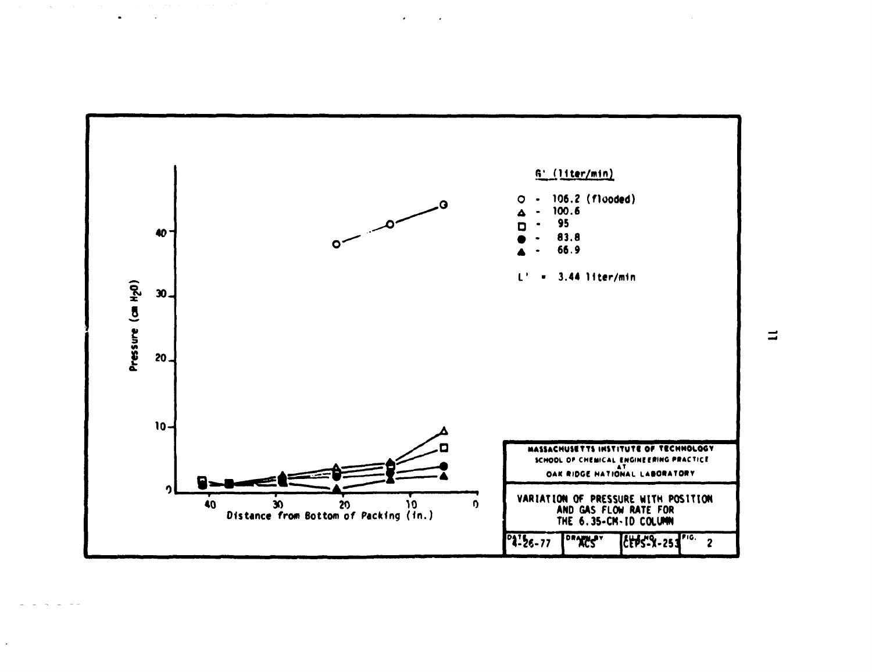

 $\ddot{\phantom{a}}$ 

 $\equiv$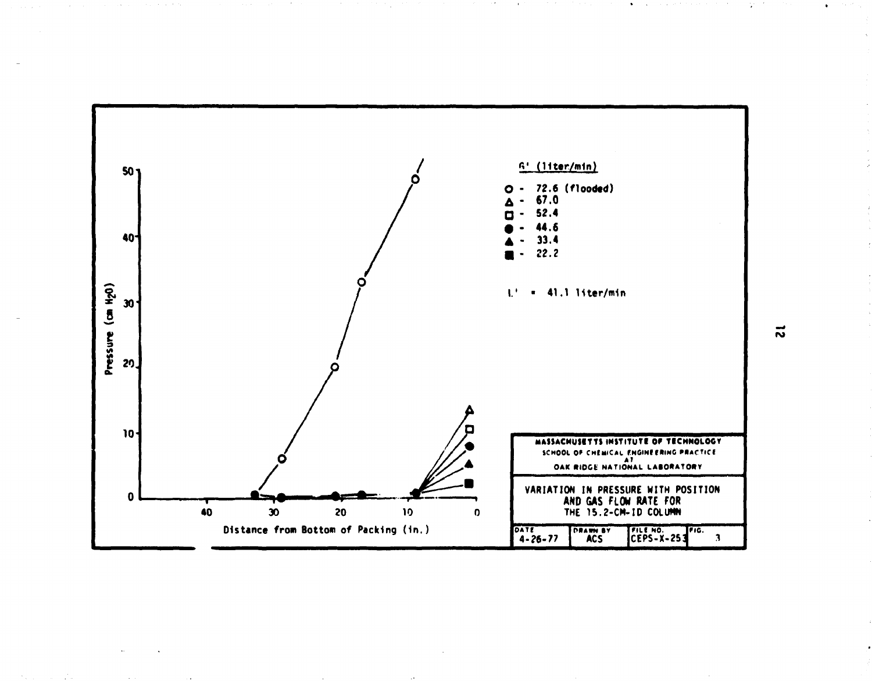

 $\vec{v}$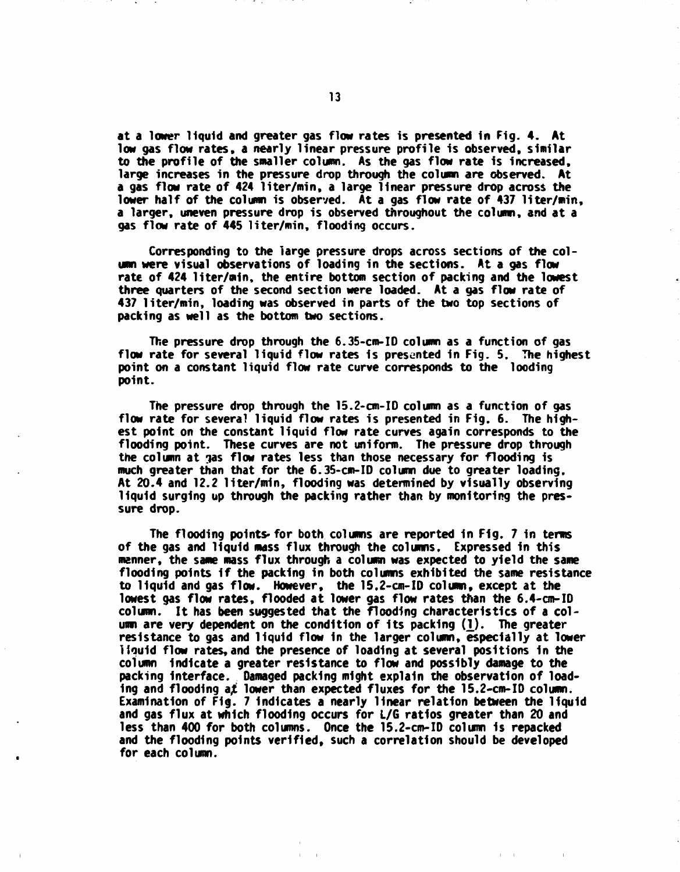**at a lower liquid and greater gas flow rates is presented in Fig. 4. At low gas flow rates, a nearly linear pressure profile is observed, similar to the profile of the smaller column. As the gas flow rate is increased, large increases in the pressure drop through the column are observed. At a gas flow rate of 424 liter/min, a large linear pressure drop across the lower half of the column is observed. At a gas flow rate of 437 liter/min, a larger, uneven pressure drop is observed throughout the column, and at a gas flow rate of 445 liter/min, flooding occurs.** 

**Corresponding to the large pressure drops across sections of the column were visual observations of loading in the sections. At a gas flow rate of 424 liter/min, the entire bottom section of packing and the lowest three quarters of the second section were loaded. At a gas flow rate of 437 liter/min, loading was observed in parts of the two top sections of packing as well as the bottom two sections.** 

**The pressure drop through the 6.35-cm-ID column as a function of gas flow rate for several liquid flow rates is presented in Fig. 5. The highest point on a constant liquid flow rate curve corresponds to the looding point.** 

**The pressure drop through the 15.2-cm-ID column as a function of gas flow rate for several liquid flow rates is presented in Fig. 6. The highest point on the constant liquid flow rate curves again corresponds to the flooding point. These curves are not uniform. The pressure drop through the column at gas flow rates less than those necessary for flooding is much greater than that for the 6.35-cm-ID column due to greater loading. At 20.4 and 12.2 liter/min, flooding was determined by visually observing liquid surging up through the packing rather than by monitoring the pressure drop.** 

**The flooding points-for both columns are reported in Fig. 7 in terms of the gas and liquid mass flux through the columns. Expressed in this manner, the same mass flux through a column was expected to yield the same flooding points if the packing in both columns exhibited the same resistance to liquid and gas flow. However, the 15.2-cm-ID column, except at the lowest gas flow rates, flooded at lower gas flow rates than the 6.4-cm-ID column. It has been suggested that the flooding characteristics of a column are** *^ery* **dependent on the condition of its packing (1\_). The greater resistance to gas and liquid flow in the larger column, especially at lower liouid flow rates, and the presence of loading at several positions in the column indicate a greater resistance to flow and possibly damage to the packing Interface. Damaged packing might explain the observation of loading and flooding a£ lower than expected fluxes for the 15.2-cm-ID column. Examination of Fig. 7 Indicates a nearly linear relation between the liquid and gas flux at which flooding occurs for L/6 ratios greater than 20 and less than 400 for both columns. Once the 15.2-cm-ID column is repacked and the flooding points verified, such a correlation should be developed for each column.**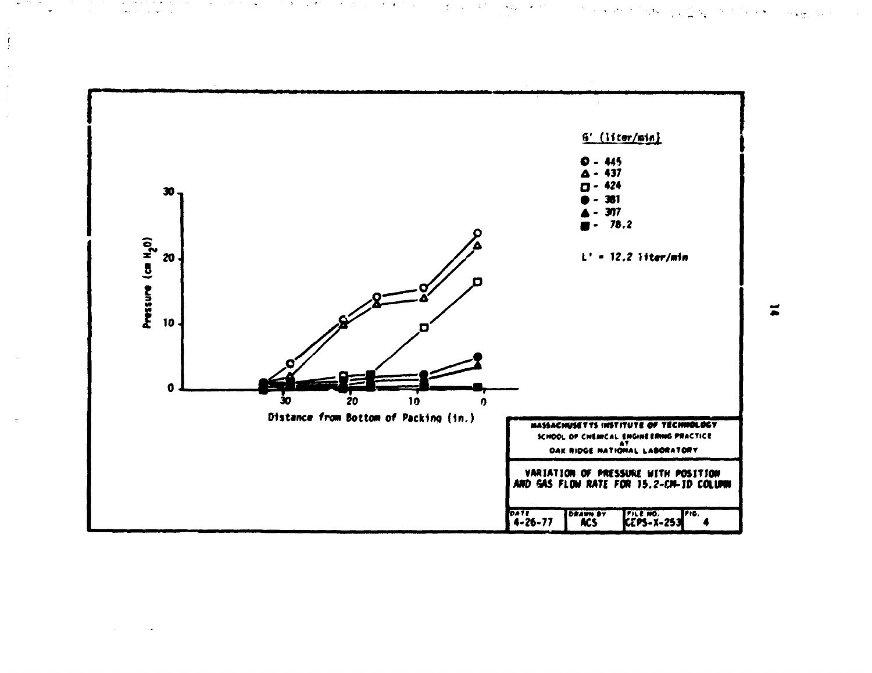

 $\int\limits_{\omega}^{\omega}$ 

 $\ddot{\phantom{a}}$ 

 $\chi^{\rm{in}}_{\rm{in}}$ 

 $\equiv$ 

න විසින් මෙයි. එම මෙහි ගත්ති විය. තමයි විය. දැන්වේ මාම මින් ගෙන විය. මෙයි විසින් ගුණු කියි විමාන විසින් කොට්ටි<br>මෙයි විසින් විසින් විසින් විසින් විසින් විසින් විසින් විසින් විසින් විසින් විසින් විසින් විසින් විසින් විසින්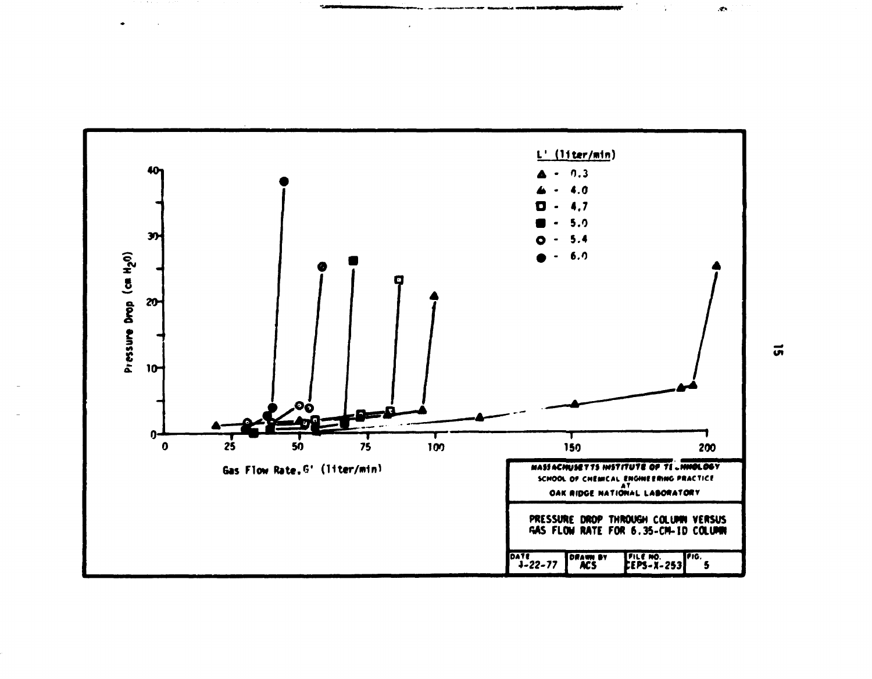

 $\vec{a}$ 

 $\hat{\mathcal{L}}$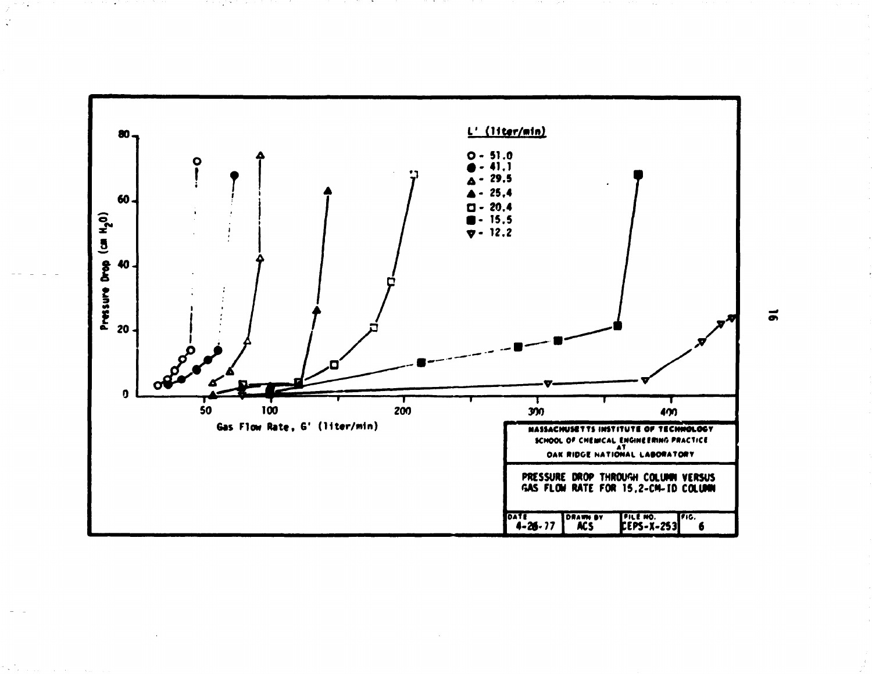

**Contract Contract Contract** 

 $\vec{a}$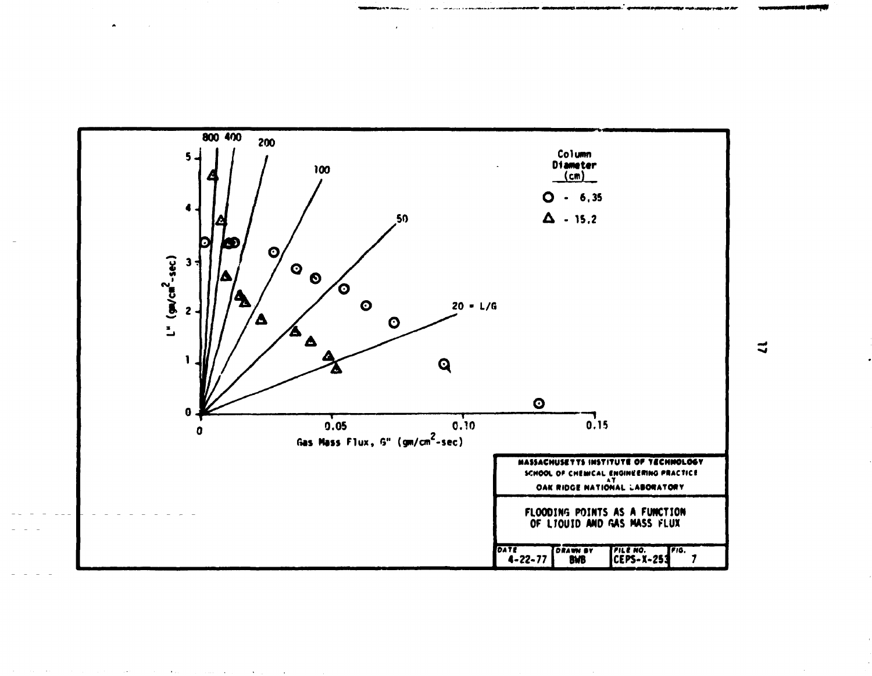

 $\mathbf{r}$ 

 $\bullet$ 

 $\sim$ 

 $\mathbf{u}$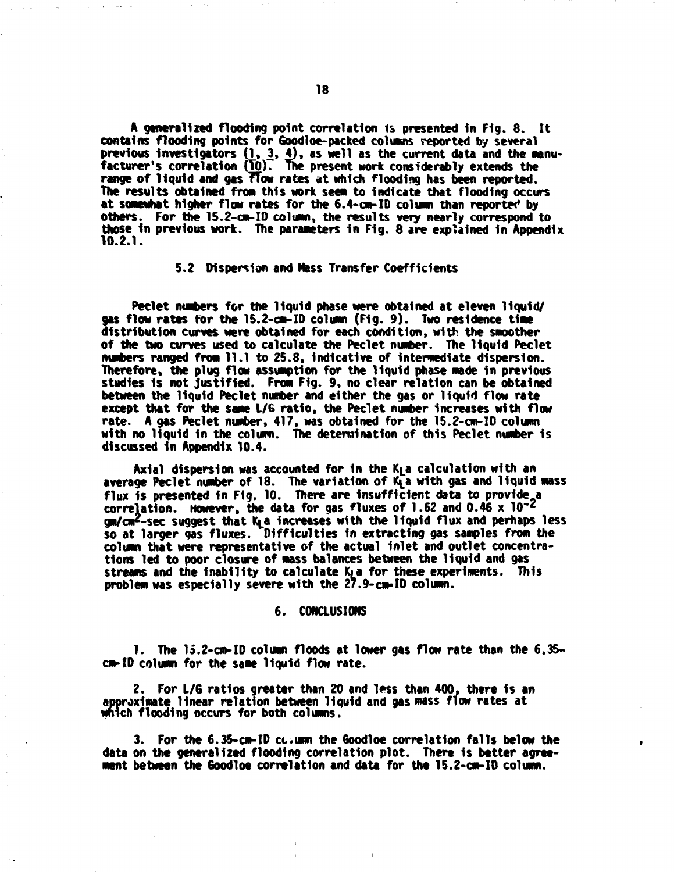**A generalized flooding point correlation 1s presented In Fig. 8. It contains flooding points for Goodloe-packed columns reported by several**  previous investigators (1, 3, 4), as well as the current data and the manu**facturer's correlation (TO). The present work considerably extends the range of liquid and gas fTow rates at which flooding has been reported. The results obtained fron this work seen to Indicate that flooding occurs at somewhat higher flow rates for the 6.4-cm-ID column than reported by others. For the 15.2-cm-ID column, the results** *wry* **nearly correspond to those In previous work. The parameters In Fig. 8 are explained In Appendix 10.2.1.** 

#### **5.2 Dispersion and Mass Transfer Coefficients**

**Peclet numbers for the liquid phase were obtained at eleven liquid/ gas flow rates for the 15.2-cm-ID column (Fig. 9) . Two residence time distribution curves were obtained for each condition, with the smoother of the two curves used to calculate the Peclet number. The liquid Peclet numbers ranged from 11.1 to 25.8. Indicative of Intermediate dispersion. Therefore, the plug flow assumption for the liquid phase made In previous studies Is not justified. From Fig. 9, no clear relation can be obtained between the liquid Peclet number and either the gas or liquid flow rate except that for the same L/6 ratio, the Peclet number Increases with flow rate. A gas Peclet number, 417, was obtained for the 15.2-cm-ID column with no liquid In the column. The determination of this Peclet number Is discussed 1n Appendix 10.4.** 

Axial dispersion was accounted for in the K<sub>1</sub> a calculation with an **average Peclet number of 18. The variation of K^a with gas and liquid mass flux 1s presented in Fig. 10. There** *are* **Insufficient data to provide a correlation. However, the data for gas fluxes of 1.62 and 0.46 x 10~<sup>z</sup>** gm/cm<sup>2</sup>-sec suggest that K<sub>L</sub>a increases with the liquid flux and perhaps less **so at larger gas fluxes. Difficulties in extracting gas samples from the column that were representative of the actual inlet and outlet concentrations led to poor closure of mass balances between the liquid and gas**  streams and the inability to calculate K<sub>1</sub> a for these experiments. This **problem was especially severe with the 27.9-cm-ID column.** 

#### **6. CONCLUSIONS**

**1. The 15.2-cm-ID column floods at lower gas flow rate than the 6,35 cm-ID column for the same liquid flow rate.** 

**2. For L/6 ratios greater than 20 and less than 400. there 1s an approximate linear relation between liquid and gas mass flow rates at which flooding occurs for both columns.** 

**3. For the 6.35-cm-ID ct.umn the Goodloe correlation falls below the**  data on the generalized flooding correlation plot. There is better agree**ment between the Goodloe correlation and data for the 15.2-cm-ID column.**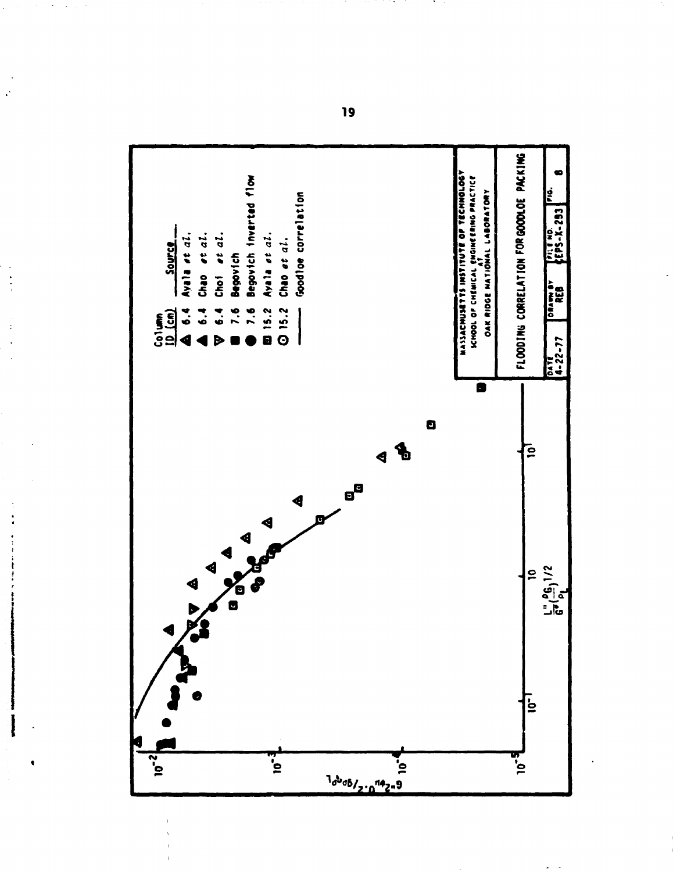

 $\epsilon$  ) is

19

 $\ddot{\phantom{a}}$ 

 $\ddot{\cdot}$ 

 $\ddot{ }$ 

 $\bullet$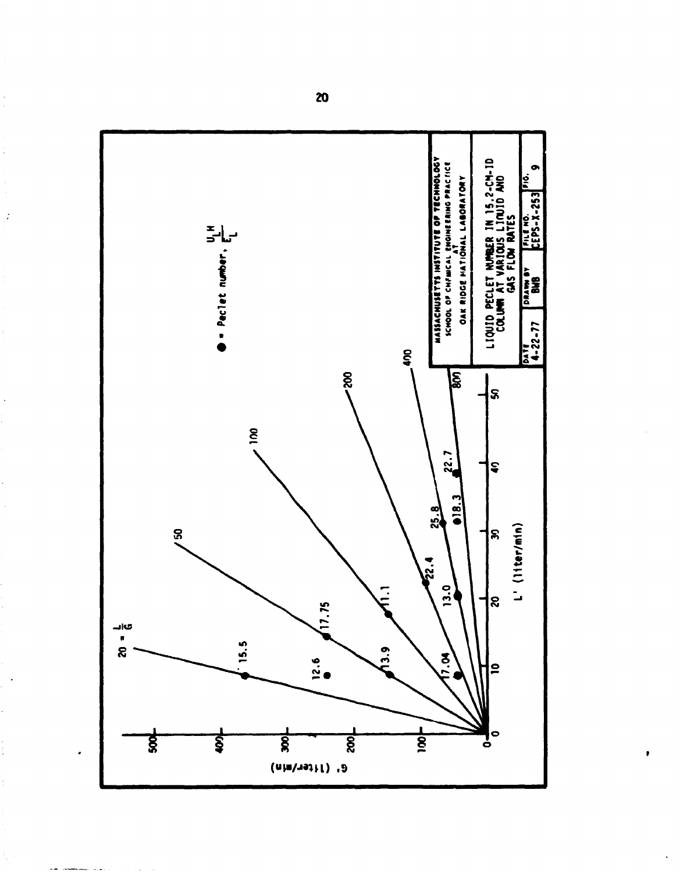

Ç

 $\frac{1}{2}$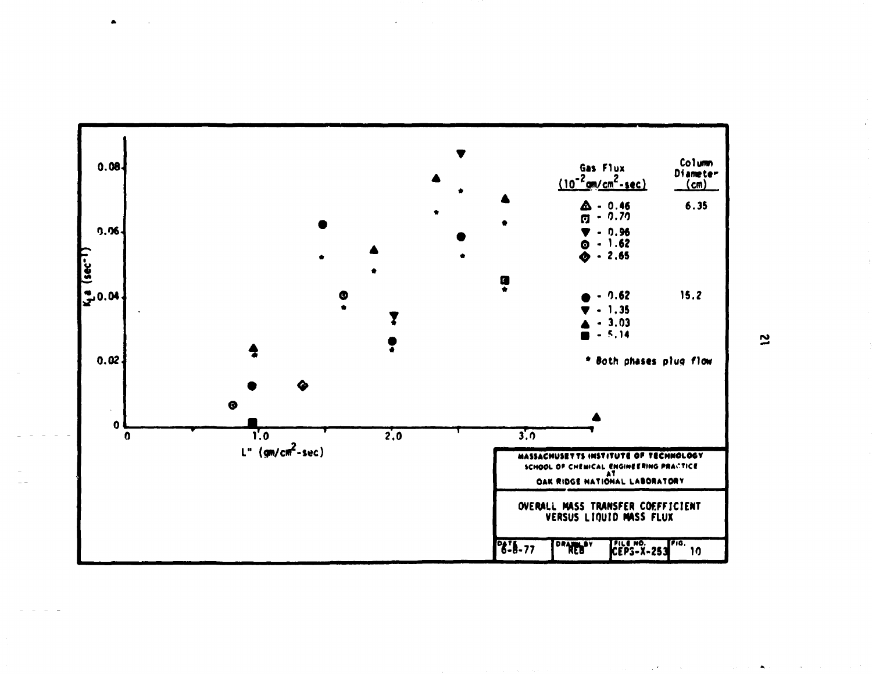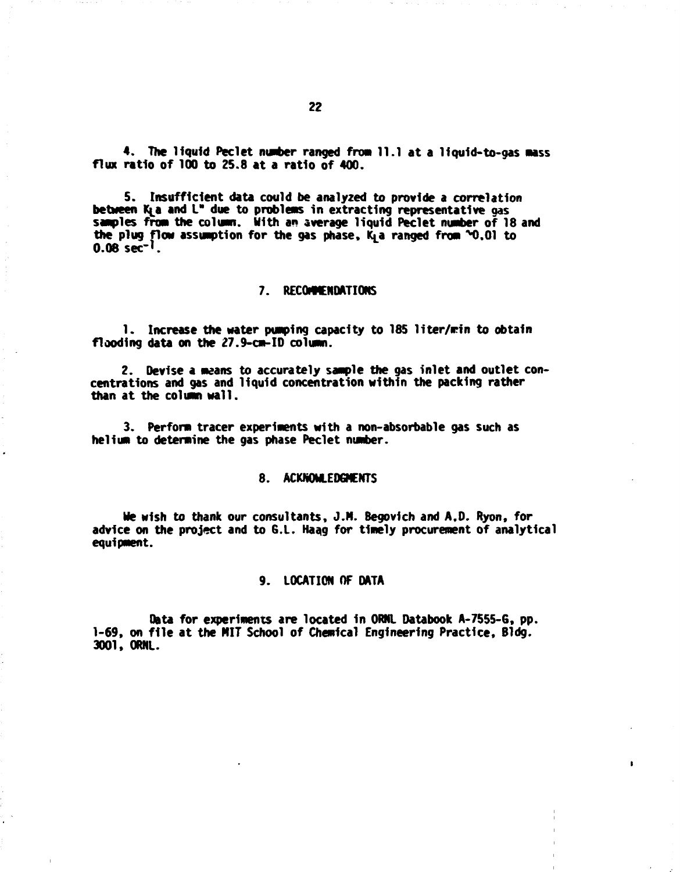**4. The liquid Peclet number ranged from 11.1 at a liquld-to-gas mass flux ratio of 100 to 25.8 at a ratio of 400.** 

**5. Insufficient data could be analyzed to provide a correlation**  between K<sub>l</sub>a and L" due to problems in extracting representative gas **samples from the column. With an average liquid Peclet number of 18 and**  the plug flow assumption for the gas phase, K<sub>1</sub> a ranged from  $\sim 0.01$  to **0.08 sec"<sup>1</sup> .** 

#### **7. RECOMMENDATIONS**

**1. Increase the water pumping capacity to 185 liter/rin to obtain flooding data on the 27.9-cm-ID column.** 

**2. Devise a means to accurately sample the gas inlet and outlet concentrations and gas and liquid concentration within the packing rather than at the column wall.** 

**3. Perform tracer experiments with a non-absorbable gas such as helium to determine the gas phase Peclet number.** 

#### **8. ACKNOWLEDGMENTS**

**He wish to thank our consultants, J.N. Begovlch and A.D. Ryon, for advice on the project and to 6.L. Haag for timely procurement of analytical equipment.** 

#### **9. LOCATION OF DATA**

**Data for experiments are located in ORNL Databook A-7555-6, pp. 1-69, on file at the NIT School of Chemical Engineering Practice, Bldg. 3001, ORNL.** 

•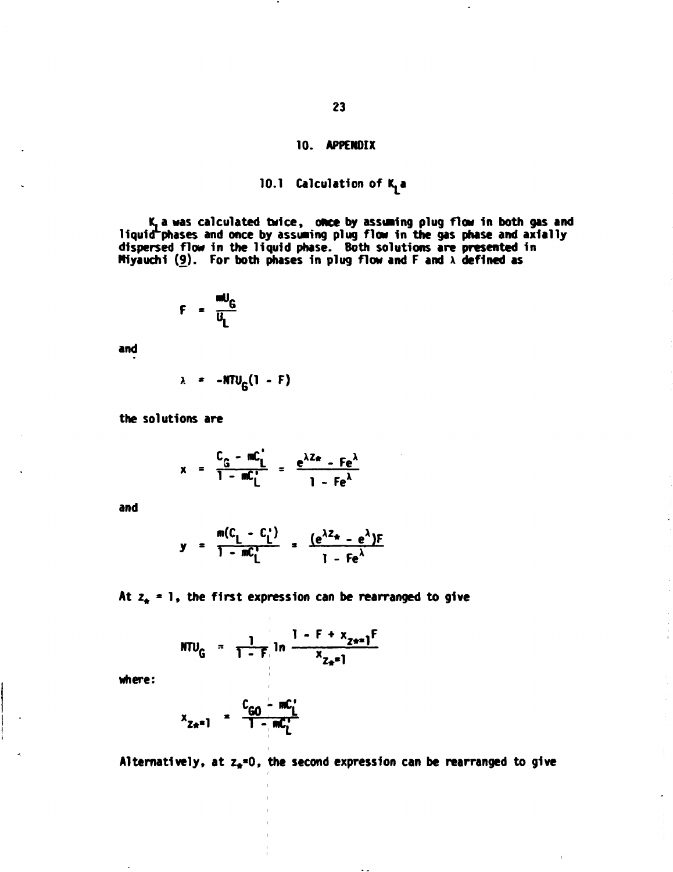# **10. APPENOIX**

# 10.1 Calculation of K<sub>1</sub>a

**K,a was calculated twice, ohce by assuring plug flow In both gas and llquld^phases and once by assuming plug flow In the gas phase and axially dispersed flow In the liquid phase. Both solutions are presented In Mlyauchl (£). For both phases In plug flow and F and x defined as** 

$$
F = \frac{mU_G}{U_L}
$$

**and** 

$$
\lambda = -NTU_c(1 - F)
$$

**the solutions are** 

$$
x = \frac{C_G - mC_L}{1 - mC_L} = \frac{e^{\lambda Z_{\text{m}}} - Fe^{\lambda}}{1 - Fe^{\lambda}}
$$

**and** 

$$
y = \frac{m(C_1 - C_1')}{1 - mC_1'} = \frac{(e^{\lambda Z_{\star}} - e^{\lambda})F}{1 - Fe^{\lambda}}
$$

At  $z_n = 1$ , the first expression can be rearranged to give

$$
NTU_{G} = \frac{1}{1 - F} \ln \frac{1 - F + x_{z+1}F}{x_{z+1}}
$$

**where:** 

$$
x_{Z*} = 1 - \frac{C_{GO} - mC_{L}^{T}}{1 - mC_{L}^{T}}
$$

Alternatively, at z<sub>\*</sub>=0, the second expression can be rearranged to give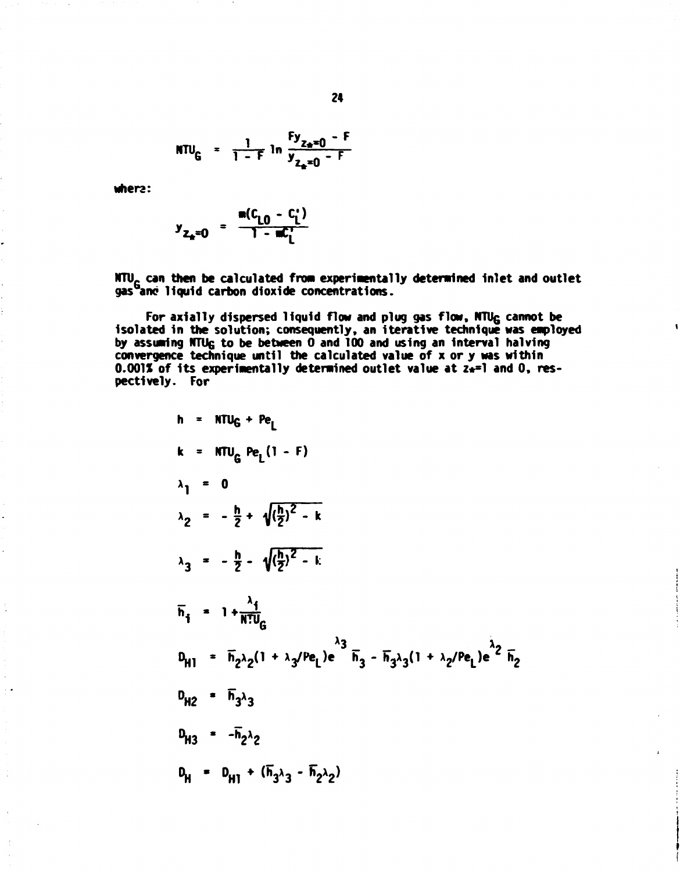$$
NTU_{G} = \frac{1}{1-F} \ln \frac{F y_{z_{0}=0} - F}{y_{z_{0}=0} - F}
$$

 $where:$ 

$$
y_{Z_k=0} = \frac{m(c_{10} - c_i)}{1 - mc_i}
$$

NTU<sub>G</sub> can then be calculated from experimentally determined inlet and outlet gas<sup>G</sup>anc liquid carbon dioxide concentrations.

For axially dispersed liquid flow and plug gas flow, NTU<sub>G</sub> cannot be isolated in the solution; consequently, an iterative technique was employed<br>by assuming NTU<sub>G</sub> to be between 0 and 100 and using an interval halving<br>convergence technique until the calculated value of x or y was within  $0.001\%$  of its experimentally determined outlet value at  $z_{\star}=1$  and 0, respectively. For

h = NTU<sub>G</sub> + Pe<sub>L</sub>  
\nk = NTU<sub>G</sub> Pe<sub>L</sub> (1 - F)  
\n
$$
\lambda_1 = 0
$$
\n
$$
\lambda_2 = -\frac{h}{2} + \sqrt{\frac{h}{2}}^2 - k
$$
\n
$$
\lambda_3 = -\frac{h}{2} - \sqrt{\frac{h}{2}}^2 - k
$$
\n
$$
\overline{h}_i = 1 + \frac{\lambda_i}{N!U_G}
$$
\n
$$
D_{H1} = \overline{h}_2 \lambda_2 (1 + \lambda_3 / Pe_L) e^{\lambda_3} \overline{h}_3 - \overline{h}_3 \lambda_3 (1 + \lambda_2 / Pe_L) e^{\lambda_2} \overline{h}_2
$$
\n
$$
D_{H2} = \overline{h}_3 \lambda_3
$$
\n
$$
D_{H3} = -\overline{h}_2 \lambda_2
$$
\n
$$
D_H = D_{H1} + (\overline{h}_3 \lambda_3 - \overline{h}_2 \lambda_2)
$$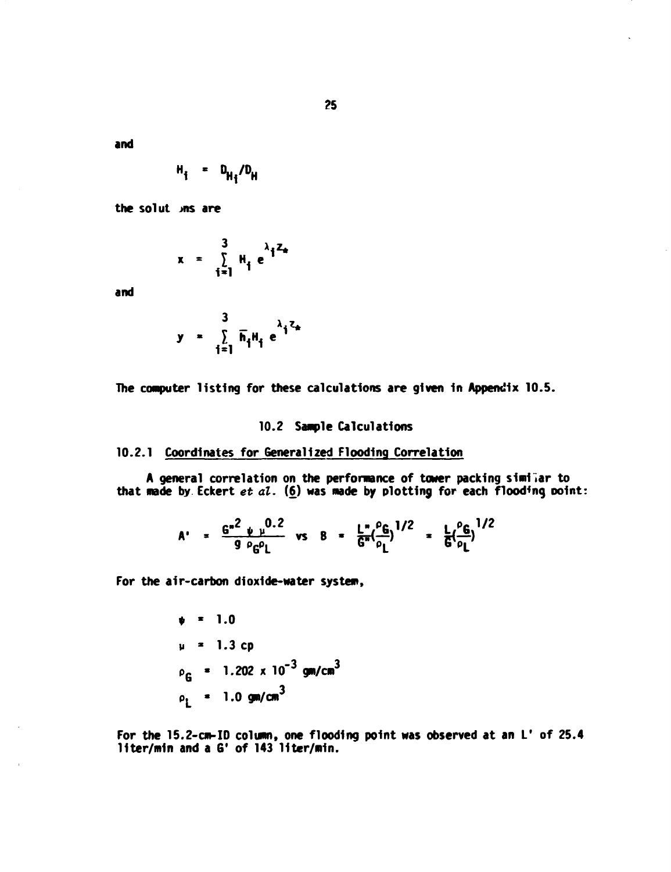**?5** 

**and** 

$$
H_i = D_{H_i}/D_H
$$

**the solut jns are** 

$$
x = \sum_{i=1}^{3} H_i e^{\lambda_i^2 z_i}
$$

 $\mathcal{L}$ 

**and** 

$$
y = \sum_{i=1}^{3} \overline{h}_i H_i e^{\lambda_i Z_n}
$$

The computer listing for these calculations are given in Appendix 10.5.

# **10.2 Sample Calculations**

# **10.2.1 Coordinates for Generalized Flooding Correlation**

**A general correlation on the performance of tower packing similar to that made by Eckert** *et al.* **(6) was made by plotting for each flooding point:** 

$$
A' = \frac{G^{*2} \psi \psi^{0.2}}{9 \rho_G \rho_L} \quad \text{vs} \quad B = \frac{L^*}{G^*} (\frac{\rho_G}{\rho_L})^{1/2} = \frac{L}{G} (\frac{\rho_G}{\rho_L})^{1/2}
$$

**For the air-carbon dioxide-water system,** 

$$
\psi = 1.0
$$
\n
$$
\mu = 1.3 \text{ cp}
$$
\n
$$
\rho_{\text{G}} = 1.202 \times 10^{-3} \text{ gm/cm}^3
$$
\n
$$
\rho_1 = 1.0 \text{ gm/cm}^3
$$

**For the 15.2-cm-ID column, one flooding point was observed at an L' of 25.4 llter/mln and a G' of 143 llter/mln.**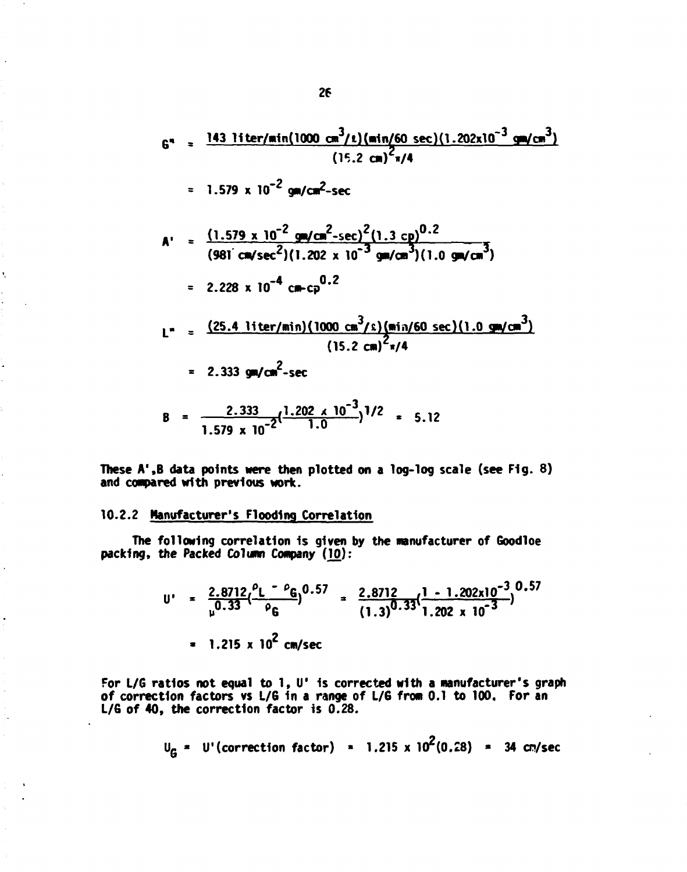$$
6^{n} = \frac{143 \text{ liter/min}(1000 \text{ cm}^{3}/\ell)(\text{min}/60 \text{ sec})(1.202 \times 10^{-3} \text{ cm}/\text{cm}^{3})}{(15.2 \text{ cm})^{2}\pi/4}
$$
\n
$$
= 1.579 \times 10^{-2} \text{ gm/cm}^{2}\text{-sec}
$$
\n
$$
A' = \frac{(1.579 \times 10^{-2} \text{ gm/cm}^{2}\text{-sec})^{2}(1.3 \text{ cm})^{0.2}}{(981 \text{ cm/sec}^{2})(1.202 \times 10^{-3} \text{ gm/cm}^{3})(1.0 \text{ gm/cm}^{3})}
$$
\n
$$
= 2.228 \times 10^{-4} \text{ cm-cp}^{0.2}
$$
\n
$$
L'' = \frac{(25.4 \text{ liter/min})(1000 \text{ cm}^{3}/\ell)(\text{min}/60 \text{ sec})(1.0 \text{ gm/cm}^{3})}{(15.2 \text{ cm})^{2}\pi/4}
$$
\n
$$
= 2.333 \text{ gm/cm}^{2}\text{-sec}
$$
\n
$$
B = \frac{2.333}{1.579 \times 10^{-2}}(\frac{1.202 \times 10^{-3}}{1.0})^{1/2} = 5.12
$$

**These A'.B data points were then plotted on a log-log scale (see Fig. 8) and compared with previous work.** 

#### **10.2.2 Manufacturer's Flooding Correlation**

**The following correlation 1s given by the manufacturer of Goodloe packing, the Packed Column Company (10):** 

$$
U' = \frac{2.8712}{\mu^{0.33}} \left( \frac{P_L - P_G}{P_G} \right)^{0.57} = \frac{2.8712}{(1.3)^{0.33}} \left( \frac{1 - 1.202 \times 10^{-3}}{1.202 \times 10^{-3}} \right)^{0.57}
$$
  
= 1.215 x 10<sup>2</sup> cm/sec

سمائين

**For L/G ratios not equal to 1, U' is corrected with a manufacturer's graph of correction factors vs L/G 1n a range of L/6 from 0.1 to 100. For an**  L/G of 40, the correction factor is 0.28.

$$
UG = U'(correction factor) = 1.215 \times 102(0.28) = 34
$$
 cm/sec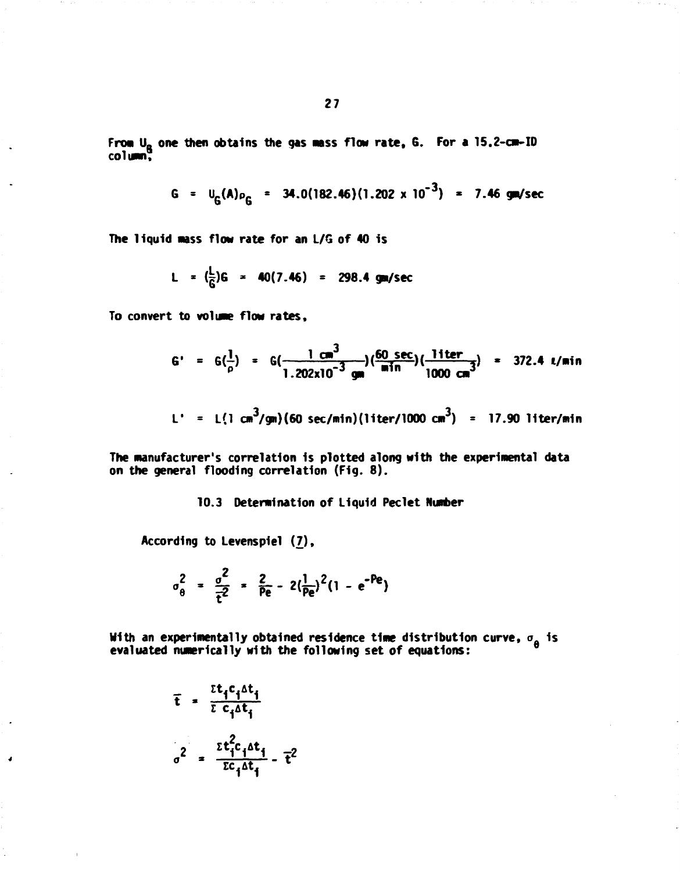$$
G = U_G(A)\rho_G = 34.0(182.46)(1.202 \times 10^{-3}) = 7.46 \text{ gm/sec}
$$

**The liquid mass flow rate for an L/G of 40 is** 

$$
L = (\frac{L}{G})G = 40(7.46) = 298.4
$$
 gm/sec

**To convert to volume flow rates,** 

$$
G' = G(\frac{1}{\rho}) = G(\frac{1 \text{ cm}^3}{1.202 \text{x} 10^{-3} \text{ cm}})(\frac{60 \text{ sec}}{\text{min}})(\frac{1 \text{ iter}}{1000 \text{ cm}^3}) = 372.4 \text{ l/min}
$$

$$
L' = L(1 cm^3 / cm) (60 sec/min) (1 iter / 1000 cm^3) = 17.90 liter/min
$$

**The manufacturer's correlation is plotted along Mith the experimental data on the general flooding correlation (Fig. 8).** 

#### **10.3 Determination of Liquid Peclet Number**

**According to Levenspiel** *{7),* 

$$
\sigma_{\theta}^2 = \frac{\sigma^2}{\bar{t}^2} = \frac{2}{\bar{p}e} - 2(\frac{1}{\bar{p}e})^2(1 - e^{-\bar{p}e})
$$

**With an experimentally obtained residence time distribution curve,**  $\sigma_{\alpha}$  **is**  $\frac{1}{\theta}$  evaluated numerically with the following set of equations:

$$
\bar{t} = \frac{\bar{t}t_i c_i \Delta t_i}{\bar{t} c_i \Delta t_i}
$$
\n
$$
\sigma^2 = \frac{\bar{t}t_i^2 c_i \Delta t_i}{\bar{t} c_i \Delta t_i} - \bar{t}^2
$$

**A**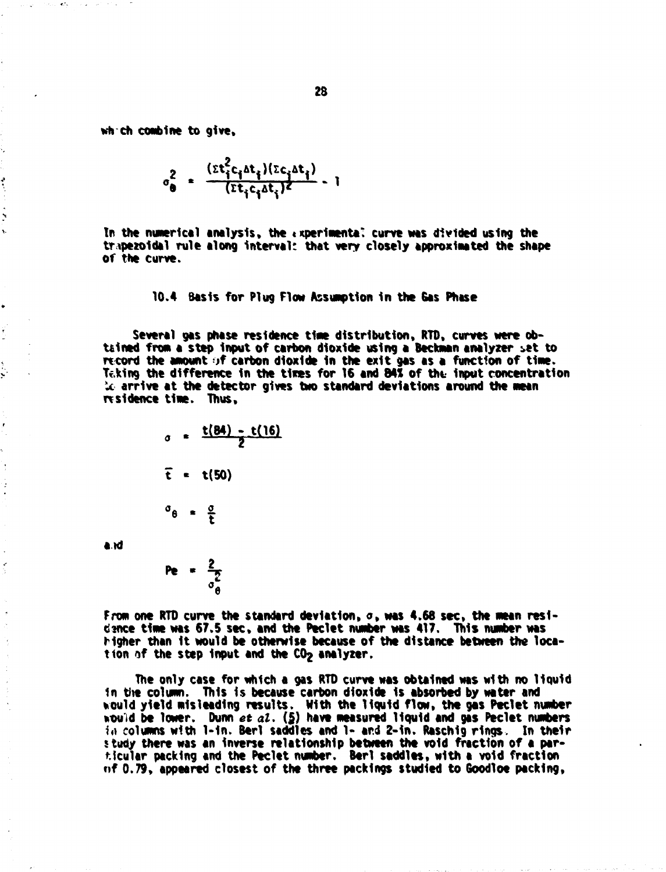**wtrch combine to give.** 

ï,

 $\ddot{\cdot}$ 

Ń  $\ddot{\phantom{0}}$ 

 $\frac{1}{2}$ 

 $\ddot{\phantom{a}}$ 

 $\hat{\mathbf{x}}$ ý

 $\overline{\phantom{a}}$ 

 $\ddot{\phantom{0}}$ 

$$
\sigma_{\theta}^{2} = \frac{(\epsilon t_{i}^{2} c_{i} \Delta t_{i})(\epsilon c_{i} \Delta t_{i})}{(\epsilon t_{i} c_{i} \Delta t_{i})^{2}} - 1
$$

In the numerical analysis, the *experimental* curve was divided using the trapezoidal rule along interval: that very closely approximated the shape **of the curve.** 

**10.4 Basis for Plug Flow Assumption In the Gas Phase** 

**Several gas phase residence time distribution, RTD, curves were obtained from a step Input of carbon dioxide using a Beckman enalyzer :»et to rtcord the amount** *>f* **carbon dioxide In the exit gas as a function of tine. Teking the difference In the tires for 16 and MS of the- Input concentration U arrive at the detector gives two standard deviations around the mean residence time. Thus,** 

$$
\sigma = \frac{t(84) - t(16)}{2}
$$
  

$$
\bar{t} = t(50)
$$
  

$$
\sigma_{\theta} = \frac{\sigma}{t}
$$

**aid** 

$$
\mathsf{Pe} = \frac{2}{\sigma_{\theta}^2}
$$

**From one RTD curve the standard deviation, o, was 4.68 sec, the mean residence time was 67.5 sec, and the Peclet number was 417. This number was higher than It would be otherwise because of the distance between the location of the step Input and the COj analyzer.** 

**The only case for which a gas RTD curve was obtained was with no liquid**  in the column. This is because carbon dioxide is absorbed by water and **tould yield misleading results. With the liquid flow, the gas Peclet number would be lower. Dunn** *et at,* **(\$) have measured liquid and gas Peclet numbers in columns with l-1n. Berl saddles and 1- and 2-in. Raschlg rings. In their study there was an Inverse relationship between the void fraction of a particular packing and the Peclet number. Berl saddles, with a void fraction of 0.79, appeared closest of the three packings studied to Goodloe packing,**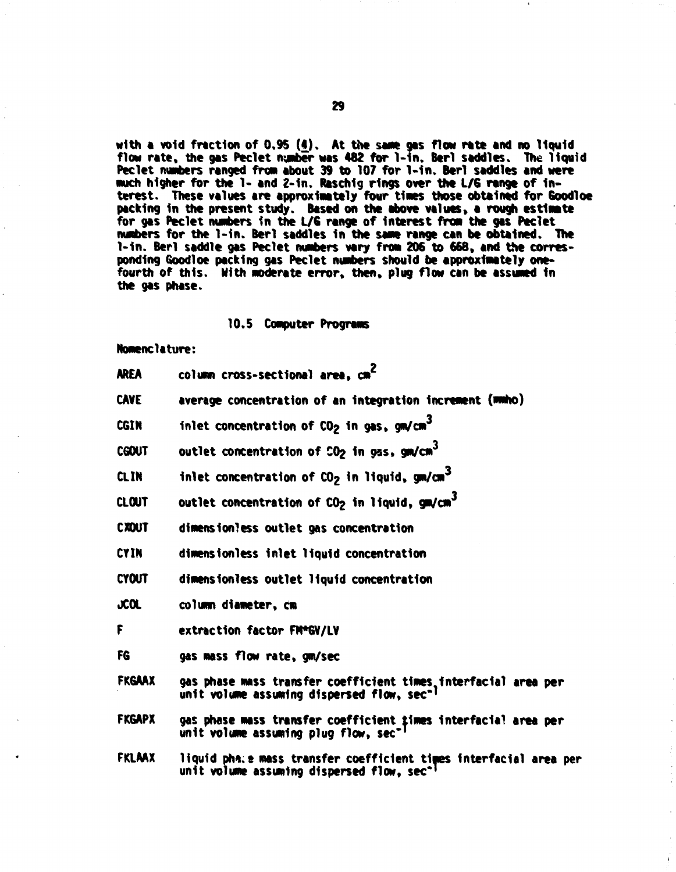with a void fraction of 0.95 (4). At the same gas flow rate and no liquid **flow rate , the gas Peclet number was 482 for l-1n. Berl saddles. The liqui d Peclet numbers ranged from about 39 to 107 for l-1n . Berl saddles and were**  much higher for the 1- and 2-in. Raschig rings over the L/G range of interest. These values are approximately four times those obtained for **Goodloe packing In the present study. Based on the above values, a rough estimate**  for gas Peclet numbers in the L/G range of interest from the gas Peclet **nunbers for the 1-in . Berl saddles In the same range can be obtained. The 1-in. Berl saddle gas Peclet numbers vary from 206 to 668, and the corres**ponding Goodloe packing gas Peclet numbers should be approximately one**fourth of this . With Moderate error, then, plug flow can be assumed In the gas phase.** 

#### **10.5 Computer ProgreMs**

**Nomenclature:** 

| <b>AREA</b>   | column cross-sectional area. cm <sup>2</sup>                                                                             |
|---------------|--------------------------------------------------------------------------------------------------------------------------|
| CAVE          | average concentration of an integration increment (mmho)                                                                 |
| CGIN          | inlet concentration of $CO2$ in gas, gm/cm <sup>3</sup>                                                                  |
| <b>CGOUT</b>  | outlet concentration of CO <sub>2</sub> in gas, gm/cm <sup>3</sup>                                                       |
| CL IN         | inlet concentration of $CO2$ in liquid, gm/cm <sup>3</sup>                                                               |
| CLOUT         | outlet concentration of CO <sub>2</sub> in liquid, gm/cm <sup>3</sup>                                                    |
| <b>CXOUT</b>  | dimensionless outlet gas concentration                                                                                   |
| CYIN          | dimensionless inlet liquid concentration                                                                                 |
| CYOUT         | dimensionless outlet liquid concentration                                                                                |
| JCOL          | column diameter, cm                                                                                                      |
| F             | extraction factor FM*GV/LV                                                                                               |
| FG            | gas mass flow rate, gm/sec                                                                                               |
| <b>FKGAAX</b> | gas phase mass transfer coefficient times interfacial area per<br>unit volume assuming dispersed flow, sec <sup>-1</sup> |
| <b>FKGAPX</b> | gas phase mass transfer coefficient times interfacial area per<br>unit volume assuming plug flow, sec-                   |
| FKLAAX        | liquid pha:e mass transfer coefficient times interfacial area per                                                        |

**unit volume assuming dispersed flow, sec\* <sup>1</sup>**

**29**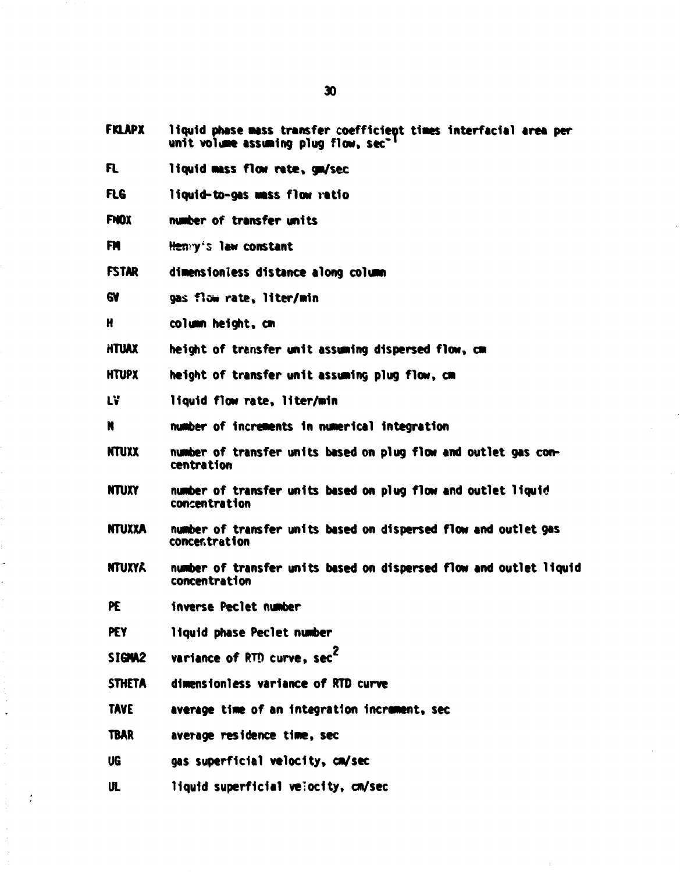- **FKLAPX** liquid phase mass transfer coefficient times interfacial area per unit volume assuming plug flow, sec<sup>-1</sup>
- **FL liquid MS S flow rate , gm/sec**
- FLG liquid-to-gas mass flow ratio
- **FHOX number of transfer units**
- **FN Henry's law constant**
- FSTAR dimensionless distance along column
- **6V gas flow rate , liter/win**
- **H column height, en**
- HTUAX height of transfer unit assuming dispersed flow, cm
- HTUPX height of transfer unit assuming plug flow, cm
- **L¥ liquid flow rate, liter/win**
- **N number of Increments In numerical Integration**
- **NTUXX number of transfer units based on plug flow and outlet gas concentration**
- **NTUXY number of transfer units based on plug flow and outlet liquid concentration**
- **NTUXXA number of transfer units based on dispersed flow and outlet gas concentration**
- **NTUXYA number of transfer units based on dispersed flow and outlet liquid concentration**
- **PE inverse Peclet number**
- **PEY liquid phase Peclet number**
- SIGMA2 variance of RTD curve, sec<sup>2</sup>
- **STHETA** dimensionless variance of RTD curve
- **TAVE average time of an Integration increment, sec**
- **TBAR average residence time , sec**
- **UG gas superficia l velocity , cm/sec**
- **UL liquid superficia l velocity , cm/sec**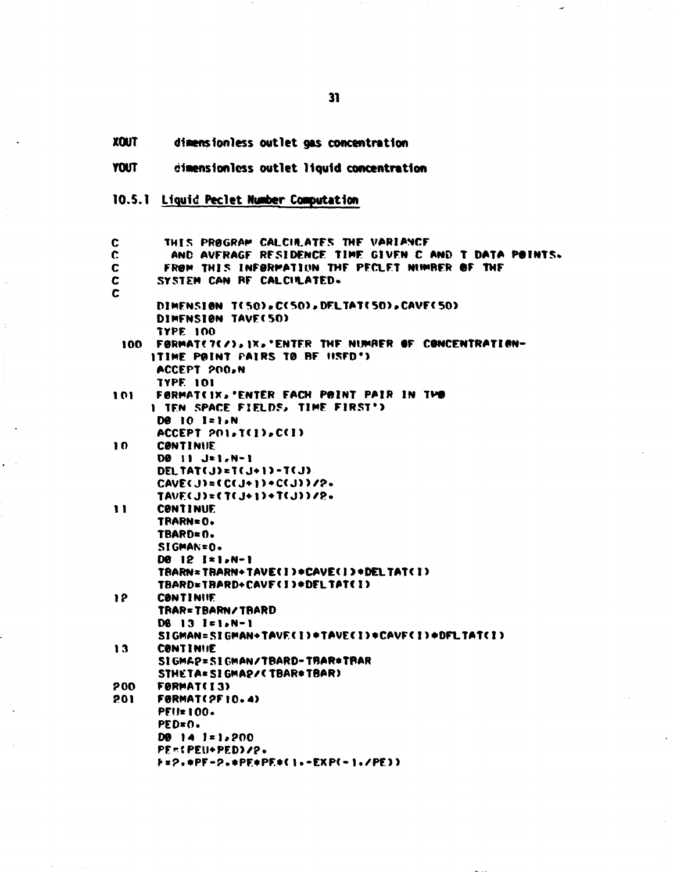**XOUT** dimensionless outlet gas concentration

**YOUT** dimensionless outlet liquid concentration

10.5.1 Liquid Peclet Number Computation

| C          | THIS PROGRAM CALCIRATES THE VARIANCE                  |
|------------|-------------------------------------------------------|
| C.         | AND AVERAGE RESIDENCE TIME GIVEN C AND T DATA POINTS. |
| C          | FROM THIS INFORMATION THE PECLET NUMBER OF THE        |
| C.         | SYSTEM CAN RF CALCILATED.                             |
| C          |                                                       |
|            | DIMENSION T(50), C(50), DELTAT(50), CAVE(50)          |
|            | DIMENSION TAVE(50)                                    |
|            | <b>TYPE 100</b>                                       |
| 100        | FØRMAT(7(/), IX, 'ENTER THE NUMBER OF CONCENTRATION-  |
|            | ITIME POINT PAIRS TO BE USED')                        |
|            | ACCEPT 200,N                                          |
|            | <b>TYPE 101</b>                                       |
| 101        | FORMATCIX, 'ENTER FACH POINT PAIR IN THO              |
|            | I TEN SPACE FIELDS, TIME FIRST')                      |
|            | <b>De 10 I=1.N</b>                                    |
|            | ACCEPT POIST(I) SC(I)                                 |
| 10         | <b>CONTINUE</b>                                       |
|            | DO 11 J=1,N-1                                         |
|            | DELTAT(J)=T(J+1)-T(J)                                 |
|            | $CAVE(J)=CC(J+1)+CC(J))72-$                           |
|            | TAVE(J)=(T(J+1)+T(J))/2.                              |
| 11         | <b>CONTINUE</b>                                       |
|            | TRARN=0.                                              |
|            | TBARD=0.                                              |
|            | SIGMAN=0.                                             |
|            | DØ 12 I=1,N-1                                         |
|            | TRARN=TRARN+TAVE(I)=CAVE(I)=DELTAT(I)                 |
|            | TBARD=TBARD+CAVF(I)*DFLTAT(I)                         |
| 12         | <b>CONTINUE</b>                                       |
|            | TRAR=TBARN/TRARD                                      |
|            | D6 13 1=1.N-1                                         |
|            | SIGMAN=SIGMAN+TAVE(I)*TAVE(I)*CAVF(I)*DFLTAT(I)       |
| 13         | <b>CONTINUE</b>                                       |
|            | SIGMAP=SIGMAN/TBARD-TBAR#TBAR                         |
|            | STHETA=SIGMAP/CTBAR=TBAR)                             |
| 200        | FØRMAT(I3)                                            |
| <b>201</b> | <b>FØRMAT(2F10.4)</b>                                 |
|            | <b>PEU=100.</b><br>PED=0.                             |
|            | $D0 14 1*1,200$                                       |
|            | PE=CPEU+PED)/2.                                       |
|            | F=2.#PF-2.#PF#PE#(1.-EXP(-1./PE))                     |
|            |                                                       |

 $31$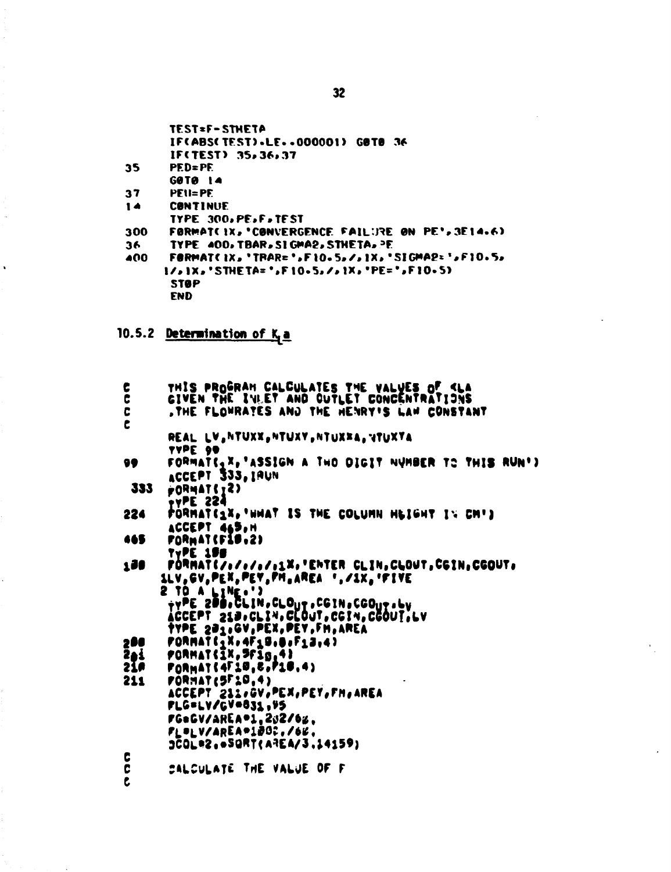|     | <b>TEST=F-STHETA</b>                                 |
|-----|------------------------------------------------------|
|     | IF(ABS(TEST).LEOOOOO1) GOTO 36                       |
|     | IF(TEST) 35,36,37                                    |
| 35  | $PED = PE$                                           |
|     | GOTO 14                                              |
| 37  | $PEU = PE$                                           |
| 14  | <b>CONTINUE</b>                                      |
|     | TYPE 300.PE.F.TEST                                   |
| 300 | FORMATCIX, 'CONVERGENCE FAILURE ON PE', 3E14.6)      |
| 36  | TYPE 400, TBAR, SI GMA2, STHETA, PE                  |
| 400 | <b>FORMATCIX,'TRAR=',FIO.5,/,IX,'SIGMA2=',FIO.5,</b> |
|     | $11.1X$ , 'STHETA=', F10.5, /, 1X, 'PE=', F10.5)     |
|     | <b>STOP</b>                                          |
|     | FND                                                  |

# 10.5.2 Determination of K<sub>L</sub>a

 $\hat{\textbf{v}}$ 

| C<br>, THE FLOWRATES AND THE HENRY'S LAW CONSTANT<br>C<br>REAL LV, NTUXX, NTUXY, NTUXXA, VTUXYA<br>LADE 80<br>FORMATE <sub>1</sub> X, 'ASSIGN A THO DIGIT NUMBER TO THIS RUN')<br>99<br>ACCEPT 333, IAUN<br>PORMATEIZ)<br>333<br><b>TYPE 224</b><br>PORMATILY, HHAT IS THE COLUMN HEIGHT IN CH')<br>224<br>ACCEPT 465,H<br>FORMAT (F18.2)<br>465<br>TYPE 155<br>FORMATC/s/s/s/s1X, "ENTER CLIN, CLOUT, CGIN, CGOUT.<br>190<br>SLV, GV, PEX, PEY, FM, AREA ', /SX, 'FIVE<br><b>S 10 A FINE </b><br>ŸŸPE ZDD.CLIN,CLOUT,CGIN,CGOUT,LY<br>ÁCCEPT 210,CLIN,C[OUT,CGIN,CGOUT,LV<br>TYPE 201, GV, PEX, PEY, FM, AREA<br>$PORMATG_1X_24F_1B_1B_2F_1B_14$<br>200<br>$p$ ORMAT( $\bar{1}$ X, $\bar{3}$ f $\bar{1}$ g, 4)<br>2ei<br>$P0RMAT6 + 10, E0P10, 4)$<br>21F<br><b>FORMAT (SF20.4)</b><br>211<br>ACCEPT 211,GV,PEX,PEY,FM,AREA<br>FLG=LV/GV=831,45<br>FG=GV/AREA=1,202/6%.<br>₽L®LV/AREA®1₽00,/66,<br>3COL®2SQRT(AREA/3.14159)<br>C | $\frac{c}{c}$ | THIS PROGRAM CALCULATES THE VALUES OF KLA |
|-----------------------------------------------------------------------------------------------------------------------------------------------------------------------------------------------------------------------------------------------------------------------------------------------------------------------------------------------------------------------------------------------------------------------------------------------------------------------------------------------------------------------------------------------------------------------------------------------------------------------------------------------------------------------------------------------------------------------------------------------------------------------------------------------------------------------------------------------------------------------------------------------------------------------------------|---------------|-------------------------------------------|
|                                                                                                                                                                                                                                                                                                                                                                                                                                                                                                                                                                                                                                                                                                                                                                                                                                                                                                                                   |               | GIVEN THE IVLET AND CUTLET CONCENTRATIONS |
|                                                                                                                                                                                                                                                                                                                                                                                                                                                                                                                                                                                                                                                                                                                                                                                                                                                                                                                                   |               |                                           |
|                                                                                                                                                                                                                                                                                                                                                                                                                                                                                                                                                                                                                                                                                                                                                                                                                                                                                                                                   |               |                                           |
|                                                                                                                                                                                                                                                                                                                                                                                                                                                                                                                                                                                                                                                                                                                                                                                                                                                                                                                                   |               |                                           |
|                                                                                                                                                                                                                                                                                                                                                                                                                                                                                                                                                                                                                                                                                                                                                                                                                                                                                                                                   |               |                                           |
|                                                                                                                                                                                                                                                                                                                                                                                                                                                                                                                                                                                                                                                                                                                                                                                                                                                                                                                                   |               |                                           |
|                                                                                                                                                                                                                                                                                                                                                                                                                                                                                                                                                                                                                                                                                                                                                                                                                                                                                                                                   |               |                                           |
|                                                                                                                                                                                                                                                                                                                                                                                                                                                                                                                                                                                                                                                                                                                                                                                                                                                                                                                                   |               |                                           |
|                                                                                                                                                                                                                                                                                                                                                                                                                                                                                                                                                                                                                                                                                                                                                                                                                                                                                                                                   |               |                                           |
|                                                                                                                                                                                                                                                                                                                                                                                                                                                                                                                                                                                                                                                                                                                                                                                                                                                                                                                                   |               |                                           |
|                                                                                                                                                                                                                                                                                                                                                                                                                                                                                                                                                                                                                                                                                                                                                                                                                                                                                                                                   |               |                                           |
|                                                                                                                                                                                                                                                                                                                                                                                                                                                                                                                                                                                                                                                                                                                                                                                                                                                                                                                                   |               |                                           |
|                                                                                                                                                                                                                                                                                                                                                                                                                                                                                                                                                                                                                                                                                                                                                                                                                                                                                                                                   |               |                                           |
|                                                                                                                                                                                                                                                                                                                                                                                                                                                                                                                                                                                                                                                                                                                                                                                                                                                                                                                                   |               |                                           |
|                                                                                                                                                                                                                                                                                                                                                                                                                                                                                                                                                                                                                                                                                                                                                                                                                                                                                                                                   |               |                                           |
|                                                                                                                                                                                                                                                                                                                                                                                                                                                                                                                                                                                                                                                                                                                                                                                                                                                                                                                                   |               |                                           |
|                                                                                                                                                                                                                                                                                                                                                                                                                                                                                                                                                                                                                                                                                                                                                                                                                                                                                                                                   |               |                                           |
|                                                                                                                                                                                                                                                                                                                                                                                                                                                                                                                                                                                                                                                                                                                                                                                                                                                                                                                                   |               |                                           |
|                                                                                                                                                                                                                                                                                                                                                                                                                                                                                                                                                                                                                                                                                                                                                                                                                                                                                                                                   |               |                                           |
|                                                                                                                                                                                                                                                                                                                                                                                                                                                                                                                                                                                                                                                                                                                                                                                                                                                                                                                                   |               |                                           |
|                                                                                                                                                                                                                                                                                                                                                                                                                                                                                                                                                                                                                                                                                                                                                                                                                                                                                                                                   |               |                                           |
|                                                                                                                                                                                                                                                                                                                                                                                                                                                                                                                                                                                                                                                                                                                                                                                                                                                                                                                                   |               |                                           |
|                                                                                                                                                                                                                                                                                                                                                                                                                                                                                                                                                                                                                                                                                                                                                                                                                                                                                                                                   |               |                                           |
|                                                                                                                                                                                                                                                                                                                                                                                                                                                                                                                                                                                                                                                                                                                                                                                                                                                                                                                                   |               |                                           |
|                                                                                                                                                                                                                                                                                                                                                                                                                                                                                                                                                                                                                                                                                                                                                                                                                                                                                                                                   |               |                                           |
|                                                                                                                                                                                                                                                                                                                                                                                                                                                                                                                                                                                                                                                                                                                                                                                                                                                                                                                                   |               |                                           |
|                                                                                                                                                                                                                                                                                                                                                                                                                                                                                                                                                                                                                                                                                                                                                                                                                                                                                                                                   |               |                                           |
|                                                                                                                                                                                                                                                                                                                                                                                                                                                                                                                                                                                                                                                                                                                                                                                                                                                                                                                                   |               |                                           |
|                                                                                                                                                                                                                                                                                                                                                                                                                                                                                                                                                                                                                                                                                                                                                                                                                                                                                                                                   |               |                                           |
| C                                                                                                                                                                                                                                                                                                                                                                                                                                                                                                                                                                                                                                                                                                                                                                                                                                                                                                                                 | C             | CALCULATE THE VALUE OF F                  |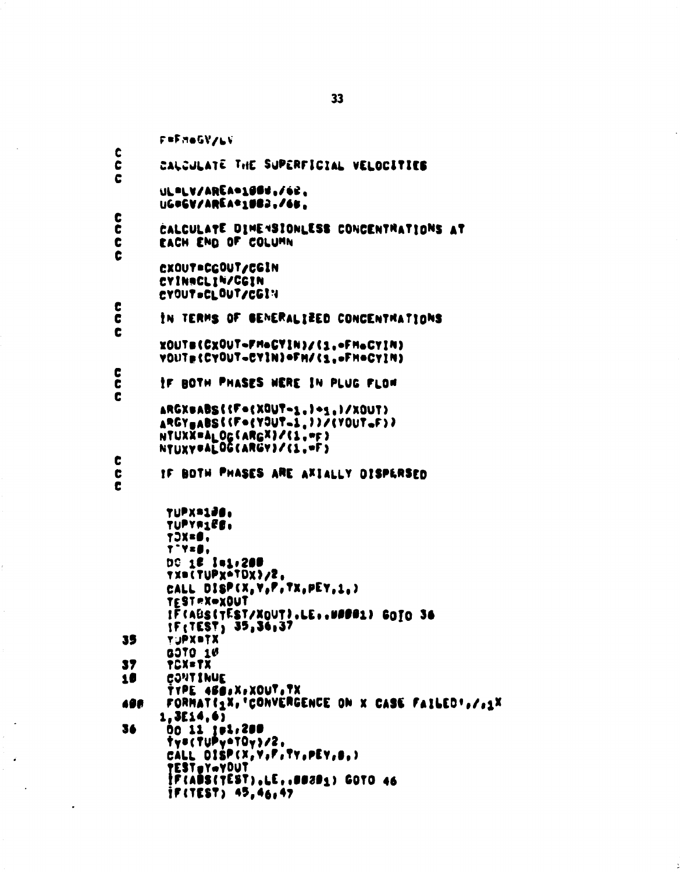F=FMeGV/LV C C CALCULATE THE SUPERFICIAL VELOCITIES C ULPLV/AREAD1004./62. UG#GV/AREA\*1983./65. C č CALCULATE DIMENSIONLESS CONCENTRATIONS AT C EACH END OF COLUMN C CXOUT=CGOUT/CGIN CYINACLIN/CGIN CYOUT=CLOUT/CGIN C IN TERMS OF GENERALIZED CONCENTRATIONS  $\mathbf c$ C xOUTs(CxOUT-FM-GYIN)/(1.-FM-CYIN) VOUT={CYOUT-CYIN}=FH/{1,=FH=CYIN} C IF BOTH PHASES WERE IN PLUG FLOW C C ARGXBABS({F={XQUT-1.}-1.}/XOUT} ARGYBABS((F={YOUT=1,))/(YOUT=F)) NTUXX=ALOG(ARGX)/(1,=F)<br>NTUXY=ALOG(ARGY)/(1,=F) C IF BOTH PHASES ARE AXIALLY DISPERSED C c TUPX=1JO, TUPYRIES, TJX=Ø, T"Y=Ø, DC 16 141,200 TXB(TUPXOTDX)/2, CALL DISP(X, Y, P, TX, PEY, 1, ) TEST = X=xOUT IF (ABS(TEST/XQUT).LE..WADA1) GOTO 36 IF(TEST) 35, 36, 37 TUPX®TX 35 GOTO 10 37 **TCX=TX CONTINUE** 10 TYPE 458.X.XOUT.TX FORMATE1X, 'CONVERGENCE ON X CASE FAILED',/,1X 496  $1, 3E14, 6)$ 36 00 11 jei.200 Tys(TUPy+TOy)/2, CALL DISP(X, Y, F, TY, PEY, 8,) TESTSYNVOUT<br>IF(ADS(TEST),LE,.00291) GOTO 46  $i$ F(TEST) 45,46,47

33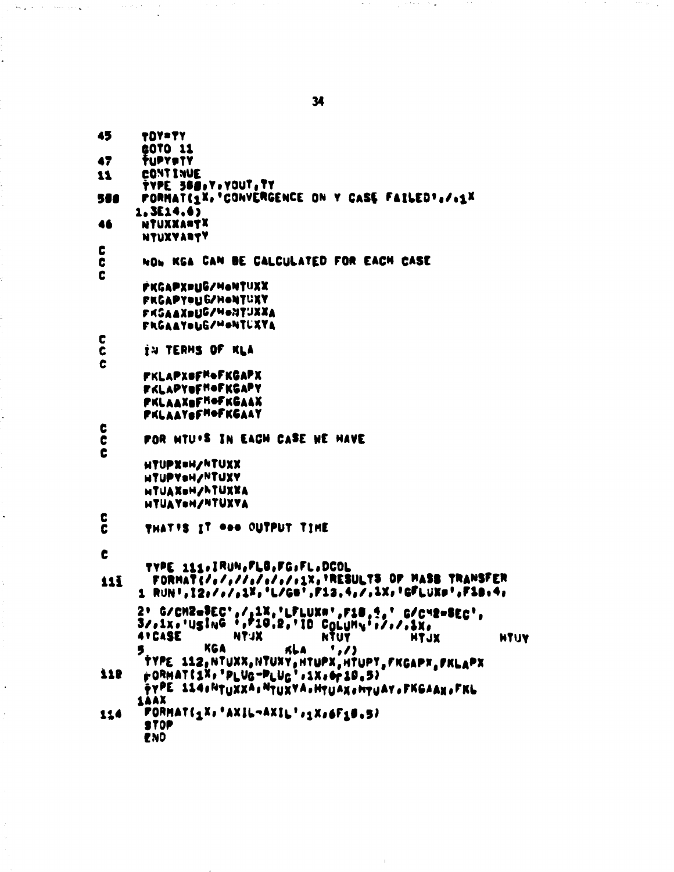| 43  | TOYLYY                                                             |
|-----|--------------------------------------------------------------------|
|     | <b>60TO 11</b>                                                     |
| 47  | TUPYPTY                                                            |
| 11  | <b>CONTINUE</b>                                                    |
|     | TYPE 388.Y.YOUT, TY                                                |
| 580 | PORMAT(1X, CONVERGENCE ON Y CASE FAILED',/.1X                      |
|     |                                                                    |
|     | 1.3E14.6)                                                          |
| 46  | NTUXXANTX                                                          |
|     | <b>NTUXYARTY</b>                                                   |
| C   |                                                                    |
| C   | NOW KGA CAN BE CALCULATED FOR EACH CASE                            |
| C   |                                                                    |
|     |                                                                    |
|     | РКСАРХРЦС/НОМТЧХХ                                                  |
|     | РКСАРҮРЦ БЛНОЦТИХҮ                                                 |
|     | РК3ААХ <b>рUG/МФИТ</b> UХХА                                        |
|     | FRGAAYOUG/MONTUXYA                                                 |
| c   |                                                                    |
| C   | IN TERMS OF KLA                                                    |
| C   |                                                                    |
|     |                                                                    |
|     | РКLАРХОГ <sup>н</sup> фгксарх                                      |
|     | FKLAPYOFHOFKGAPY                                                   |
|     | РКLААХаГ <sup>н</sup> ФГКСААХ                                      |
|     | <b>PKLAAYSFMOFKGAAY</b>                                            |
| C   |                                                                    |
| C   | POR HTU'S IN EACH CASE HE HAVE                                     |
| C   |                                                                    |
|     |                                                                    |
|     | HIUPX=H/NIUXX                                                      |
|     | <b>HIUPYOH/NTUXY</b>                                               |
|     | <b>итлахен/Атихха</b>                                              |
|     | HTUAYON/NTUXYA                                                     |
| C   |                                                                    |
| C   | THAT'S IT GOO CUTPUT TIME                                          |
|     |                                                                    |
|     |                                                                    |
| C   |                                                                    |
|     | TYPE 111, IRUN, FLG, FG, FL, DCOL                                  |
| 111 | FORMAT(/,////////////1X,'RESULTS OP MASS TRANSFER                  |
|     | 1 RUN',12,/,/,1%,'L/GB',F13,4,/,1%,'GFLUXP',F18,4,                 |
|     |                                                                    |
|     | 2' G/CM2=3EC',/ <u>,1X,'LFLUXA</u> ',F18,1,' G/C42=BEC',           |
|     | 3/,1x,'usinG *,P10,2,'ID COLUMN*,/,/,1x,                           |
|     | <b>ATCASE</b><br>XLTH<br><b>NTUY</b><br><b>NTJX</b><br><b>HTUY</b> |
|     | KGA<br>KLA.<br>',/)<br>5.                                          |
|     | type 112, htuxx, htuxy, htupx, htupy, fkgapx, fklapx               |
| 775 | r0RMAT(1%, "PLUG-PLUG",1%, 6r10,5)                                 |
|     |                                                                    |
|     | рүре - 114 «Мүнхха» Мүнхүл» мүндү «Мүндү» РКБААХ» ГКЬ              |
|     | <b>14AX</b>                                                        |
| 114 | PORMAT(1X, 'AXIL-AXIL',1X,6F10.5)                                  |
|     | <b>STOP</b>                                                        |
|     | END                                                                |

34

 $\ddot{\phantom{a}}$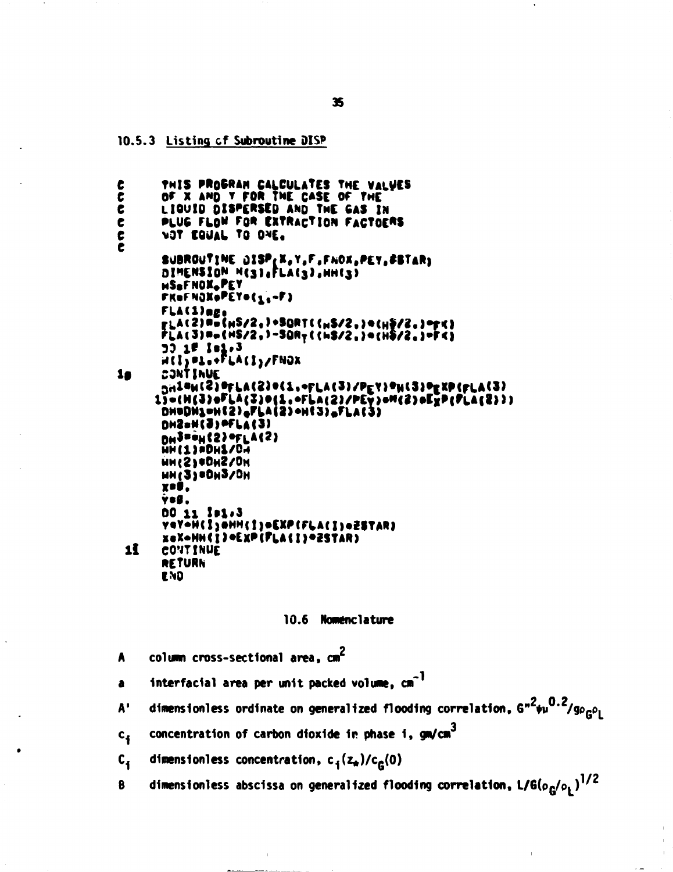10.5.3 Listing of Subroutine DISP

THIS PROGRAM CALCULATES THE VALUES  $\epsilon$ OF X AND Y FOR THE CASE OF THE t č LIQUID DISPERSED AND THE GAS IN C PLUG FLOW FOR EXTRACTION FACTOERS t NOT EQUAL TO ONE. e SUBROUTINE DISP(X,Y,F,FNOX,PEY, #BTAR) DIMENSION HESISPLACSISHHESI HSOFNOXOPEY FKeFNOXePEY=(1,-F) FLA(1)age , LA(2) ##{HS/2, }+\$QRT((HS/2,) ={H\$/2,) =fK)<br>FLA(3) ##{HS/2,}-\$QRT((HS/2,) ={H\$/2,)=FK) JJ 15 Isl.3<br>H(I)=1.+FLA(I)/FNOX CJNT INUE 10 <sub>DN</sub>1#W(S)@FLA(2)@(1,~FLA(3)/PEY)@W(3)@EXP(FLA(3) 1) -(M(3) - LA(3) = (1, - FLA(2)/PEY) - M(2) = EXP(PLA(2) )) DHODNIOH(2) PLA(2) OH(3) FLA(3) DHZ=H(3) PFLA(3) DHJPOH(2) OFLA(2) HH(1) ADH1/DH HH(S) ODHZ/DH HN(3) =DH3/DH xoý, ýs§. 00 11 101.3 YOYON(ISONH(ISOEXP(FLA(ISOZSTAR) xex=HH(1)=ExP(FLA(1)=2STAR) 1 CONTINUE **RETURN END** 

#### 10.6 Nomenclature

column cross-sectional area. cm<sup>2</sup> A

interfacial area per unit packed volume, cm<sup>-1</sup>  $\bullet$ 

dimensionless ordinate on generalized flooding correlation,  $6^{n^2}\nu^{0.2}/g_{\rho_{\Omega}\rho_{\perp}}$  $A^T$ 

concentration of carbon dioxide in phase i, gm/cm<sup>3</sup>  $c_{\mathbf{f}}$ 

 $c_{1}$ dimensionless concentration,  $c_1(z_n)/c_2(0)$ 

dimensionless abscissa on generalized flooding correlation,  $L/G(\rho_{\Omega}/\rho_{\rm{I}})^{1/2}$ 8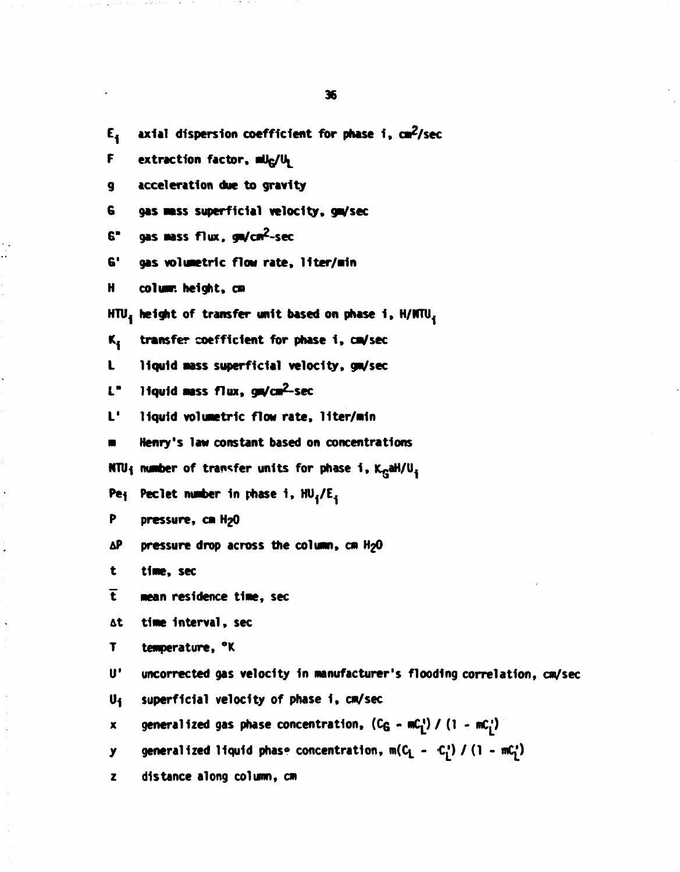E<sub>i</sub> axial dispersion coefficient for phase i, cm<sup>2</sup>/sec **F extraction factor, mUg/u^ g acceleration due to gravity G gas mass superficial velocity, ga/sec G" gas aass flux. gm/cm^-sec 6'** gas volumetric flow rate, liter/min **H collar, height, cm HTU1 height of transfer unit based on phase 1 , H/NTU<sup>1</sup> Kj transfer coefficient for phase 1 , ca/sec L liquid aass superficial velocity, ga/sec I " liquid aiss flux , ga/ca^-sec L'** liquid volumetric flow rate, liter/min **a Henry's law constant based on concentrations NTU{ nuaber of transfer units for phase 1 , K^aH/U^ P\*i Peclet nuaber In phase 1 , HUyEj P pressure, cm H2O AP pressure drop across the column, cm HgO t tine, sec**  *t* **mean residence time, sec &t time Interval , sec T temperature, °K U' uncorrected gas velocity In manufacturer's flooding correlation, cm/sec U1 superficial velocity of phase 1 , cm/sec x** generalized gas phase concentration,  $(C_G - mC_1) / (1 - mC_1)$ **y** generalized liquid phase concentration, m(C<sub>1</sub> - C<sub>1</sub><sup>1</sup>) / (1 - mC<sub>1</sub><sup>2</sup>)

**z distance along column, cm** 

**36**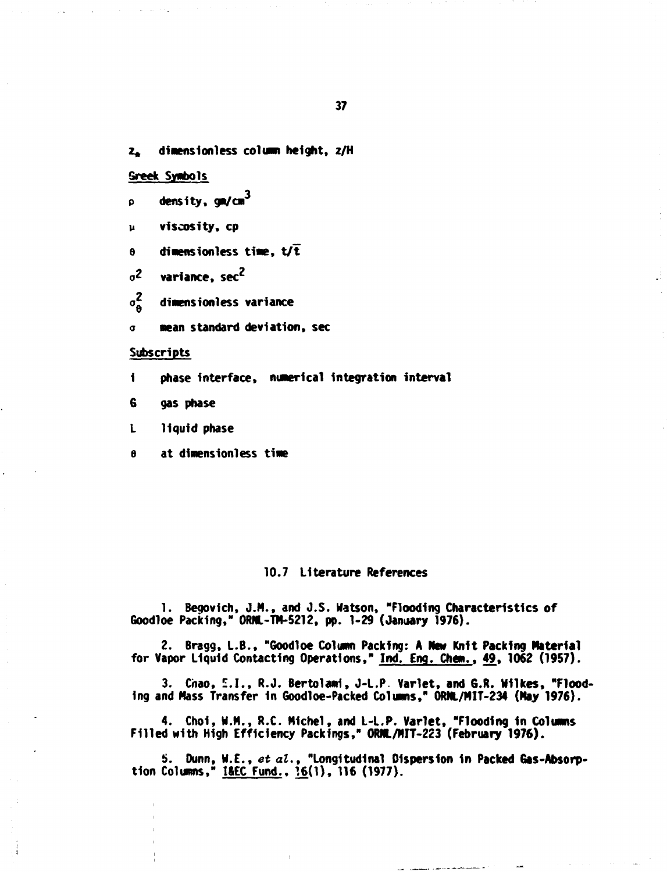dimensionless column height, z/H  $2<sub>1</sub>$ 

# **Sreek Symbols**

- density,  $gn/cm<sup>3</sup>$ p
- viscosity, cp u
- dimensionless time,  $t/\bar{t}$  $\theta$

 $\sigma^2$ variance, sec<sup>2</sup>

 $\sigma_{\rm A}^2$ dimensionless variance

mean standard deviation, sec  $\alpha$ 

#### Subscripts

phase interface, numerical integration interval  $\mathbf i$ 

G gas phase

liquid phase  $\mathbf{L}$ 

at dimensionless time  $\theta$ 

#### 10.7 Literature References

1. Begovich, J.M., and J.S. Watson, "Flooding Characteristics of Goodloe Packing," ORML-TM-5212, pp. 1-29 (January 1976).

2. Bragg, L.B., "Goodloe Column Packing: A New Knit Packing Material for Vapor Liquid Contacting Operations," Ind. Eng. Chem., 49, 1062 (1957).

3. Chao, E.I., R.J. Bertolami, J-L.P. Varlet, and G.R. Wilkes, "Flooding and Mass Transfer in Goodloe-Packed Columns," ORML/MIT-234 (May 1976).

4. Choi, W.M., R.C. Michel, and L-L.P. Varlet, "Flooding in Columns Filled with High Efficiency Packings," ORML/MIT-223 (February 1976).

5. Dunn, W.E., et al., "Longitudinal Dispersion in Packed Gas-Absorption Columns," I&EC Fund., 16(1), 116 (1977).